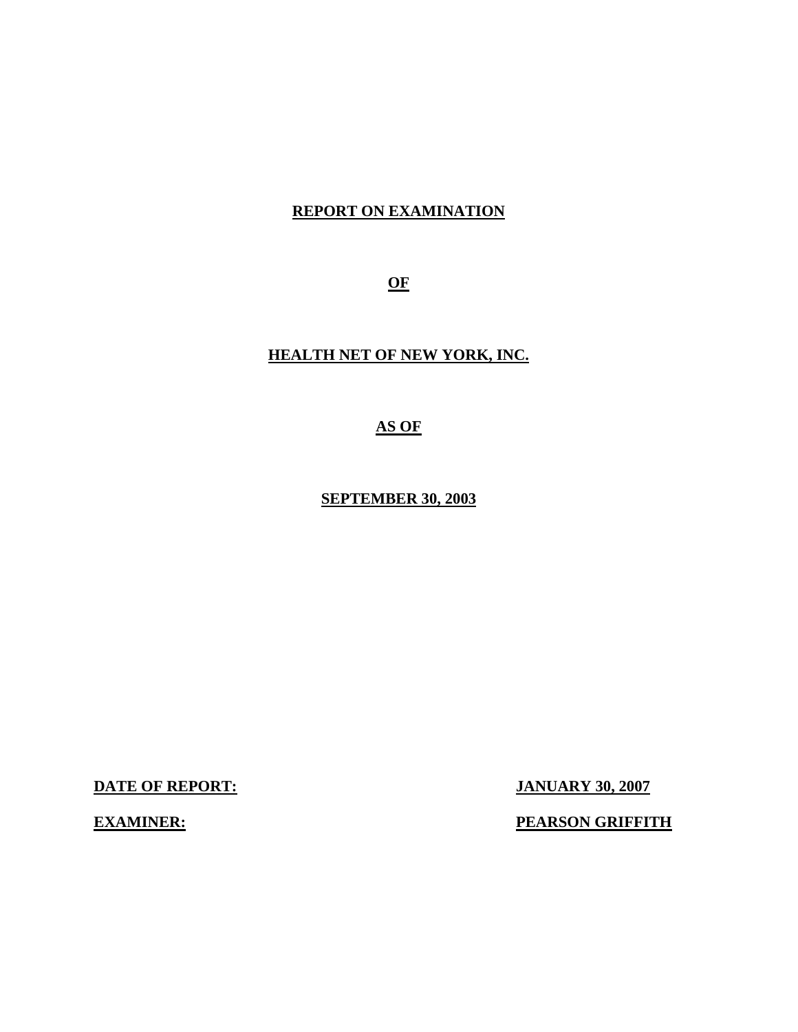# **REPORT ON EXAMINATION**

**OF** 

# **HEALTH NET OF NEW YORK, INC.**

**AS OF** 

**SEPTEMBER 30, 2003** 

**DATE OF REPORT: JANUARY 30, 2007** 

**EXAMINER:** PEARSON GRIFFITH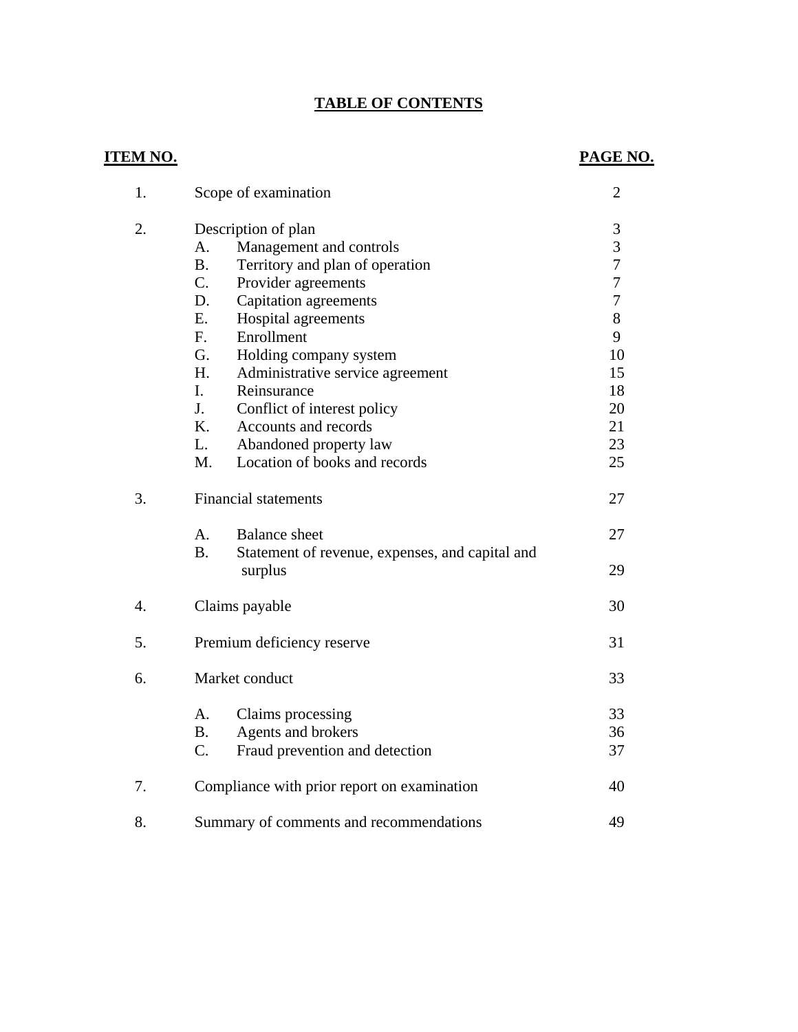# **TABLE OF CONTENTS**

### **ITEM NO. PAGE NO.**

| 1.               | Scope of examination                                                                                                                                                                                                                                                                                                                                                                                                         | 2                                                                                |  |
|------------------|------------------------------------------------------------------------------------------------------------------------------------------------------------------------------------------------------------------------------------------------------------------------------------------------------------------------------------------------------------------------------------------------------------------------------|----------------------------------------------------------------------------------|--|
| 2.               | Description of plan<br>Management and controls<br>A.<br><b>B.</b><br>Territory and plan of operation<br>C.<br>Provider agreements<br>D.<br>Capitation agreements<br>Ε.<br>Hospital agreements<br>$F_{\cdot}$<br>Enrollment<br>G.<br>Holding company system<br>H.<br>Administrative service agreement<br>I.<br>Reinsurance<br>J.<br>Conflict of interest policy<br>K.<br>Accounts and records<br>Abandoned property law<br>L. | 3<br>3<br>$\overline{7}$<br>7<br>7<br>8<br>9<br>10<br>15<br>18<br>20<br>21<br>23 |  |
|                  | Location of books and records<br>M.                                                                                                                                                                                                                                                                                                                                                                                          | 25                                                                               |  |
| 3.               | <b>Financial statements</b>                                                                                                                                                                                                                                                                                                                                                                                                  | 27                                                                               |  |
|                  | <b>Balance</b> sheet<br>A.<br><b>B.</b><br>Statement of revenue, expenses, and capital and<br>surplus                                                                                                                                                                                                                                                                                                                        | 27<br>29                                                                         |  |
| $\overline{4}$ . | Claims payable                                                                                                                                                                                                                                                                                                                                                                                                               | 30                                                                               |  |
| 5.               | Premium deficiency reserve                                                                                                                                                                                                                                                                                                                                                                                                   | 31                                                                               |  |
| 6.               | Market conduct                                                                                                                                                                                                                                                                                                                                                                                                               | 33                                                                               |  |
|                  | А.<br>Claims processing<br>Agents and brokers<br><b>B.</b><br>C.<br>Fraud prevention and detection                                                                                                                                                                                                                                                                                                                           | 33<br>36<br>37                                                                   |  |
| 7.               | Compliance with prior report on examination                                                                                                                                                                                                                                                                                                                                                                                  | 40                                                                               |  |
| 8.               | Summary of comments and recommendations                                                                                                                                                                                                                                                                                                                                                                                      |                                                                                  |  |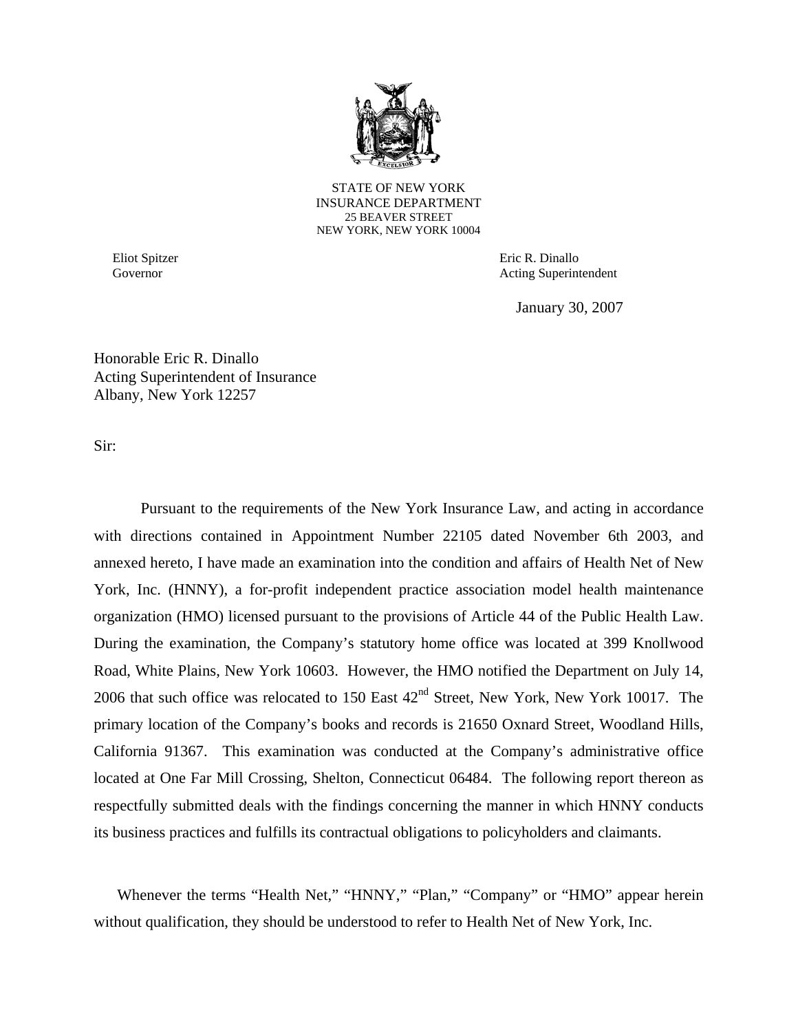

STATE OF NEW YORK INSURANCE DEPARTMENT 25 BEAVER STREET NEW YORK, NEW YORK 10004

Eliot Spitzer Governor

Eric R. Dinallo Acting Superintendent

January 30, 2007

Honorable Eric R. Dinallo Acting Superintendent of Insurance Albany, New York 12257

Sir:

Pursuant to the requirements of the New York Insurance Law, and acting in accordance with directions contained in Appointment Number 22105 dated November 6th 2003, and annexed hereto, I have made an examination into the condition and affairs of Health Net of New York, Inc. (HNNY), a for-profit independent practice association model health maintenance organization (HMO) licensed pursuant to the provisions of Article 44 of the Public Health Law. During the examination, the Company's statutory home office was located at 399 Knollwood Road, White Plains, New York 10603. However, the HMO notified the Department on July 14, 2006 that such office was relocated to 150 East  $42<sup>nd</sup>$  Street, New York, New York 10017. The primary location of the Company's books and records is 21650 Oxnard Street, Woodland Hills, California 91367. This examination was conducted at the Company's administrative office located at One Far Mill Crossing, Shelton, Connecticut 06484. The following report thereon as respectfully submitted deals with the findings concerning the manner in which HNNY conducts its business practices and fulfills its contractual obligations to policyholders and claimants.

Whenever the terms "Health Net," "HNNY," "Plan," "Company" or "HMO" appear herein without qualification, they should be understood to refer to Health Net of New York, Inc.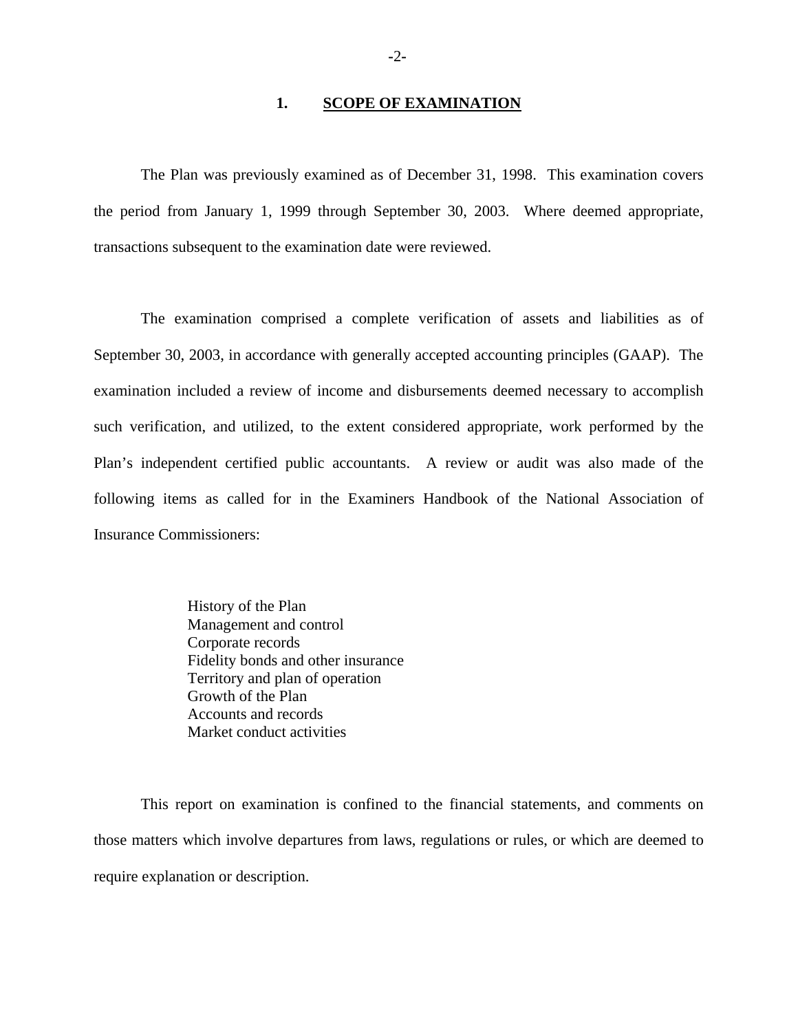#### 1. **SCOPE OF EXAMINATION**

The Plan was previously examined as of December 31, 1998. This examination covers the period from January 1, 1999 through September 30, 2003. Where deemed appropriate, transactions subsequent to the examination date were reviewed.

The examination comprised a complete verification of assets and liabilities as of September 30, 2003, in accordance with generally accepted accounting principles (GAAP). The examination included a review of income and disbursements deemed necessary to accomplish such verification, and utilized, to the extent considered appropriate, work performed by the Plan's independent certified public accountants. A review or audit was also made of the following items as called for in the Examiners Handbook of the National Association of Insurance Commissioners:

> History of the Plan Management and control Corporate records Fidelity bonds and other insurance Territory and plan of operation Growth of the Plan Accounts and records Market conduct activities

This report on examination is confined to the financial statements, and comments on those matters which involve departures from laws, regulations or rules, or which are deemed to require explanation or description.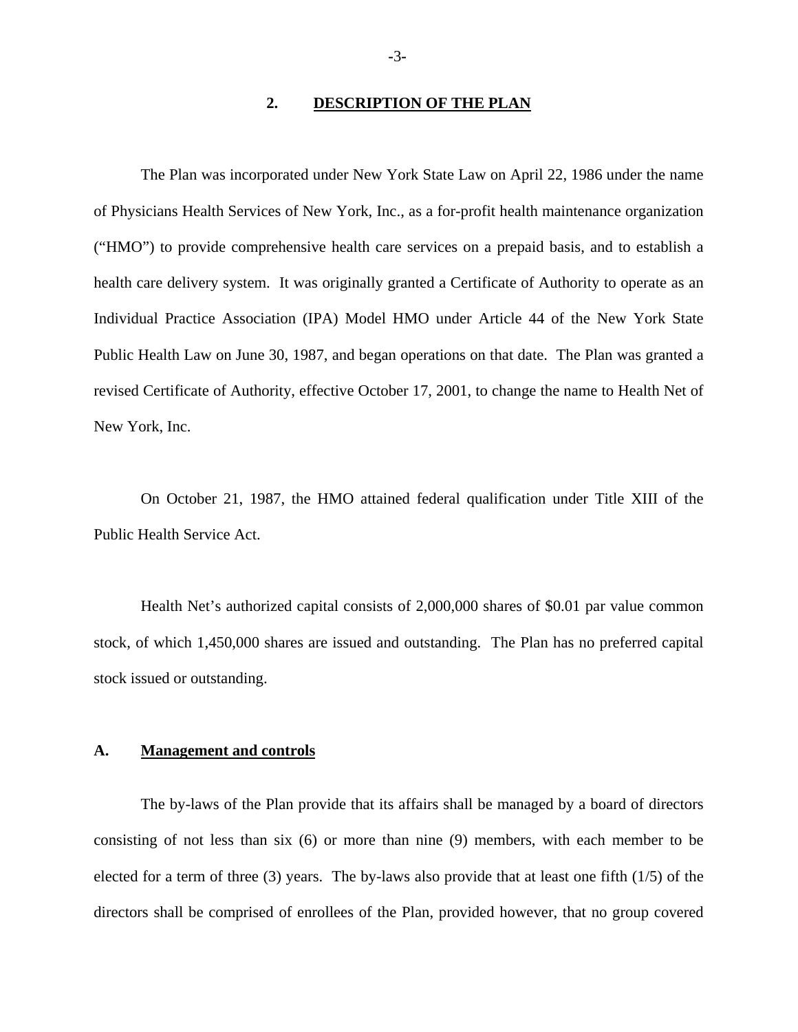#### **2. DESCRIPTION OF THE PLAN**

The Plan was incorporated under New York State Law on April 22, 1986 under the name of Physicians Health Services of New York, Inc., as a for-profit health maintenance organization ("HMO") to provide comprehensive health care services on a prepaid basis, and to establish a health care delivery system. It was originally granted a Certificate of Authority to operate as an Individual Practice Association (IPA) Model HMO under Article 44 of the New York State Public Health Law on June 30, 1987, and began operations on that date. The Plan was granted a revised Certificate of Authority, effective October 17, 2001, to change the name to Health Net of New York, Inc.

On October 21, 1987, the HMO attained federal qualification under Title XIII of the Public Health Service Act.

Health Net's authorized capital consists of 2,000,000 shares of \$0.01 par value common stock, of which 1,450,000 shares are issued and outstanding. The Plan has no preferred capital stock issued or outstanding.

#### **A. Management and controls**

The by-laws of the Plan provide that its affairs shall be managed by a board of directors consisting of not less than six (6) or more than nine (9) members, with each member to be elected for a term of three (3) years. The by-laws also provide that at least one fifth (1/5) of the directors shall be comprised of enrollees of the Plan, provided however, that no group covered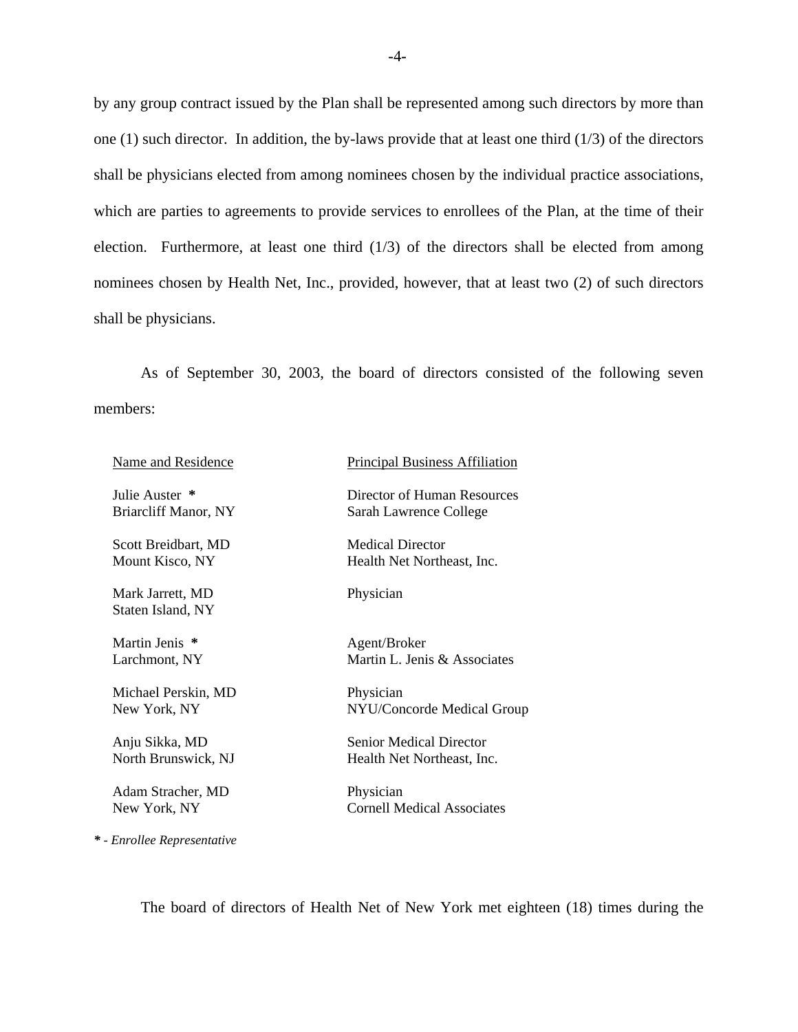by any group contract issued by the Plan shall be represented among such directors by more than one (1) such director. In addition, the by-laws provide that at least one third (1/3) of the directors shall be physicians elected from among nominees chosen by the individual practice associations, which are parties to agreements to provide services to enrollees of the Plan, at the time of their election. Furthermore, at least one third  $(1/3)$  of the directors shall be elected from among nominees chosen by Health Net, Inc., provided, however, that at least two (2) of such directors shall be physicians.

As of September 30, 2003, the board of directors consisted of the following seven members:

| <b>Name and Residence</b>              | <b>Principal Business Affiliation</b>                        |
|----------------------------------------|--------------------------------------------------------------|
| Julie Auster *<br>Briarcliff Manor, NY | Director of Human Resources<br>Sarah Lawrence College        |
| Scott Breidbart, MD<br>Mount Kisco, NY | <b>Medical Director</b><br>Health Net Northeast, Inc.        |
| Mark Jarrett, MD<br>Staten Island, NY  | Physician                                                    |
| Martin Jenis *<br>Larchmont, NY        | Agent/Broker<br>Martin L. Jenis & Associates                 |
| Michael Perskin, MD<br>New York, NY    | Physician<br>NYU/Concorde Medical Group                      |
| Anju Sikka, MD<br>North Brunswick, NJ  | <b>Senior Medical Director</b><br>Health Net Northeast, Inc. |
| Adam Stracher, MD<br>New York, NY      | Physician<br><b>Cornell Medical Associates</b>               |
| * - Enrollee Representative            |                                                              |

The board of directors of Health Net of New York met eighteen (18) times during the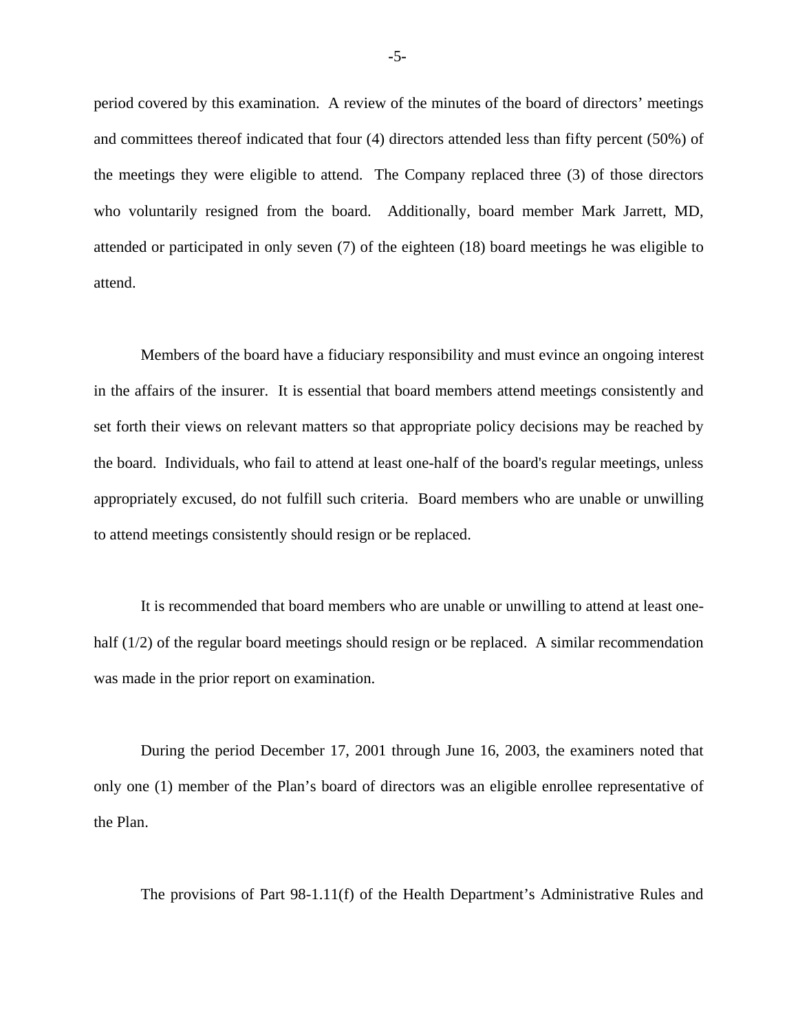the meetings they were eligible to attend. The Company replaced three (3) of those directors period covered by this examination. A review of the minutes of the board of directors' meetings and committees thereof indicated that four (4) directors attended less than fifty percent (50%) of who voluntarily resigned from the board. Additionally, board member Mark Jarrett, MD, attended or participated in only seven (7) of the eighteen (18) board meetings he was eligible to attend.

Members of the board have a fiduciary responsibility and must evince an ongoing interest in the affairs of the insurer. It is essential that board members attend meetings consistently and set forth their views on relevant matters so that appropriate policy decisions may be reached by the board. Individuals, who fail to attend at least one-half of the board's regular meetings, unless appropriately excused, do not fulfill such criteria. Board members who are unable or unwilling to attend meetings consistently should resign or be replaced.

It is recommended that board members who are unable or unwilling to attend at least onehalf (1/2) of the regular board meetings should resign or be replaced. A similar recommendation was made in the prior report on examination.

During the period December 17, 2001 through June 16, 2003, the examiners noted that only one (1) member of the Plan's board of directors was an eligible enrollee representative of the Plan.

The provisions of Part 98-1.11(f) of the Health Department's Administrative Rules and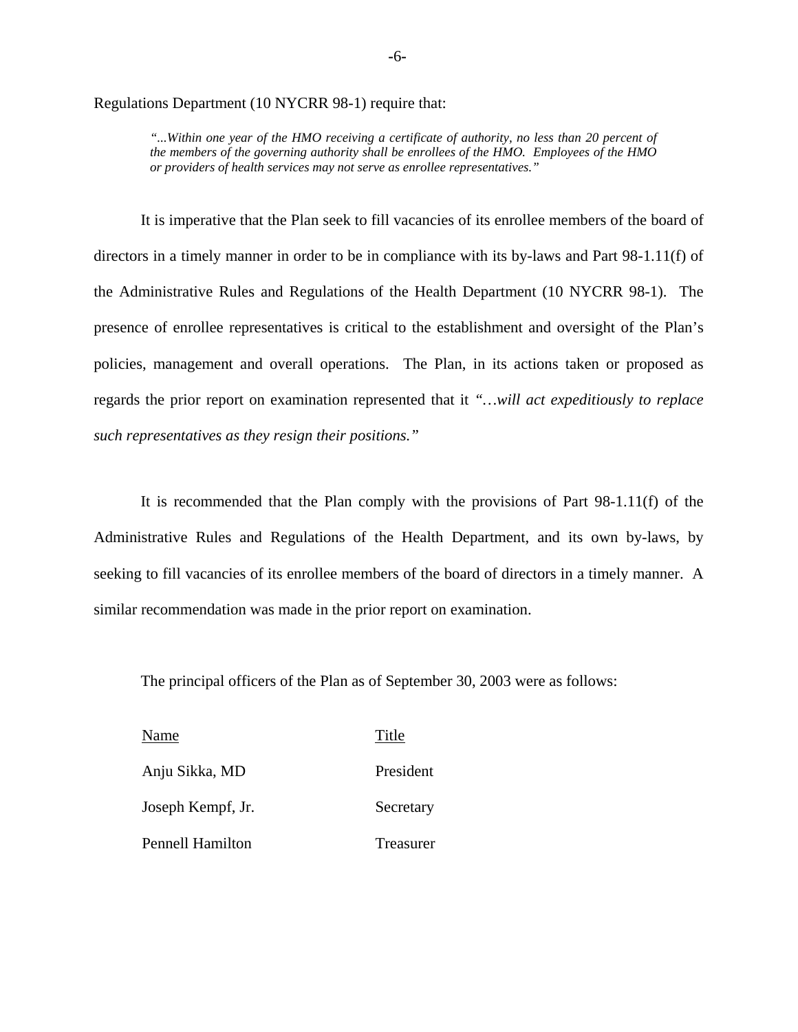Regulations Department (10 NYCRR 98-1) require that:

*"...Within one year of the HMO receiving a certificate of authority, no less than 20 percent of the members of the governing authority shall be enrollees of the HMO. Employees of the HMO or providers of health services may not serve as enrollee representatives."* 

It is imperative that the Plan seek to fill vacancies of its enrollee members of the board of directors in a timely manner in order to be in compliance with its by-laws and Part 98-1.11(f) of the Administrative Rules and Regulations of the Health Department (10 NYCRR 98-1). The presence of enrollee representatives is critical to the establishment and oversight of the Plan's policies, management and overall operations. The Plan, in its actions taken or proposed as regards the prior report on examination represented that it *"…will act expeditiously to replace such representatives as they resign their positions."* 

It is recommended that the Plan comply with the provisions of Part 98-1.11(f) of the Administrative Rules and Regulations of the Health Department, and its own by-laws, by seeking to fill vacancies of its enrollee members of the board of directors in a timely manner. A similar recommendation was made in the prior report on examination.

The principal officers of the Plan as of September 30, 2003 were as follows:

| Name                    | Title     |
|-------------------------|-----------|
| Anju Sikka, MD          | President |
| Joseph Kempf, Jr.       | Secretary |
| <b>Pennell Hamilton</b> | Treasurer |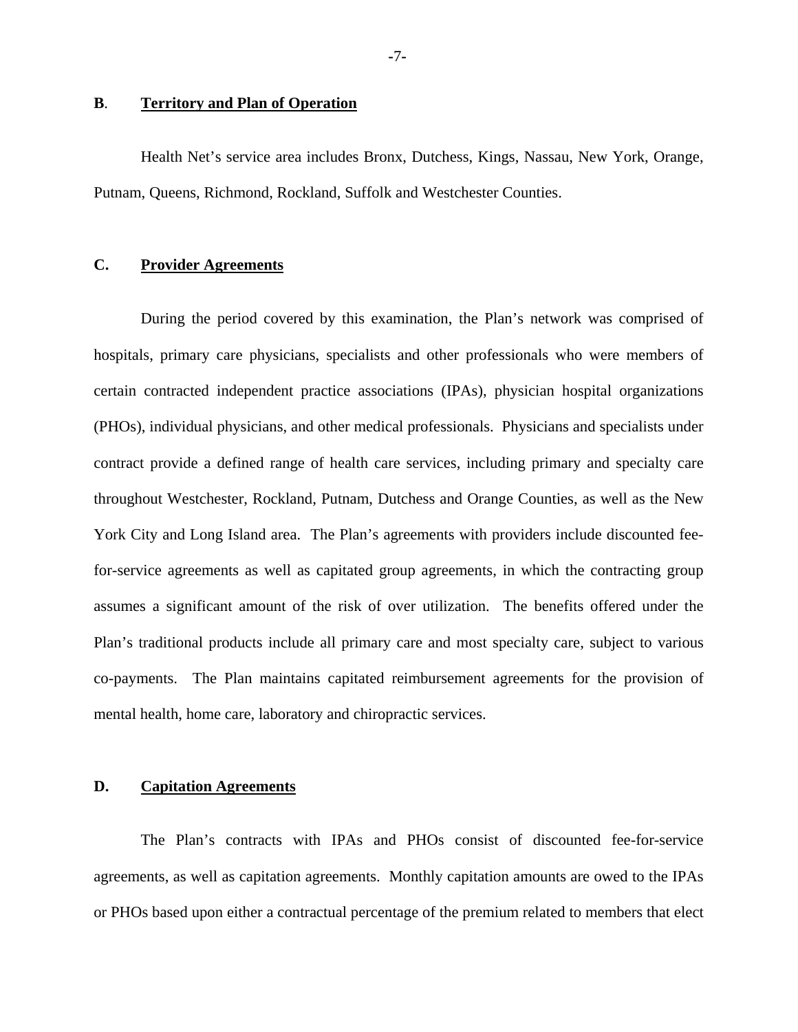#### **B**. **Territory and Plan of Operation**

Health Net's service area includes Bronx, Dutchess, Kings, Nassau, New York, Orange, Putnam, Queens, Richmond, Rockland, Suffolk and Westchester Counties.

#### **C. Provider Agreements**

During the period covered by this examination, the Plan's network was comprised of hospitals, primary care physicians, specialists and other professionals who were members of certain contracted independent practice associations (IPAs), physician hospital organizations (PHOs), individual physicians, and other medical professionals. Physicians and specialists under contract provide a defined range of health care services, including primary and specialty care throughout Westchester, Rockland, Putnam, Dutchess and Orange Counties, as well as the New York City and Long Island area. The Plan's agreements with providers include discounted feefor-service agreements as well as capitated group agreements, in which the contracting group assumes a significant amount of the risk of over utilization. The benefits offered under the Plan's traditional products include all primary care and most specialty care, subject to various co-payments. The Plan maintains capitated reimbursement agreements for the provision of mental health, home care, laboratory and chiropractic services.

#### **D. Capitation Agreements**

The Plan's contracts with IPAs and PHOs consist of discounted fee-for-service agreements, as well as capitation agreements. Monthly capitation amounts are owed to the IPAs or PHOs based upon either a contractual percentage of the premium related to members that elect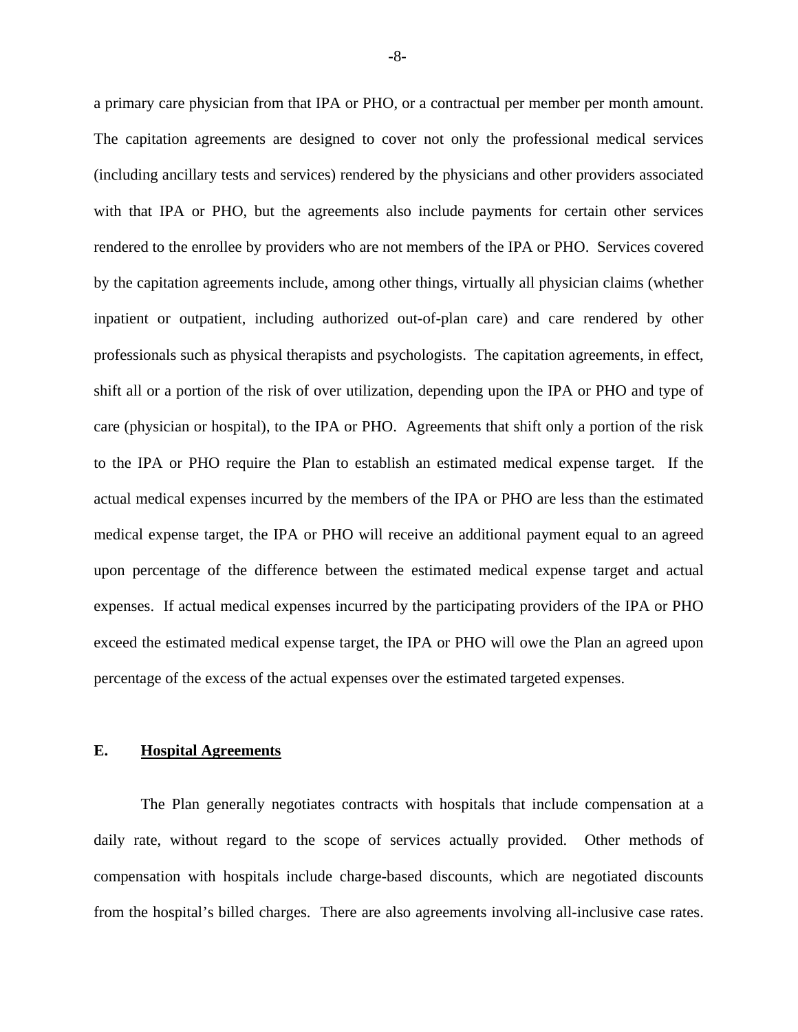a primary care physician from that IPA or PHO, or a contractual per member per month amount. The capitation agreements are designed to cover not only the professional medical services (including ancillary tests and services) rendered by the physicians and other providers associated with that IPA or PHO, but the agreements also include payments for certain other services rendered to the enrollee by providers who are not members of the IPA or PHO. Services covered by the capitation agreements include, among other things, virtually all physician claims (whether inpatient or outpatient, including authorized out-of-plan care) and care rendered by other professionals such as physical therapists and psychologists. The capitation agreements, in effect, shift all or a portion of the risk of over utilization, depending upon the IPA or PHO and type of care (physician or hospital), to the IPA or PHO. Agreements that shift only a portion of the risk to the IPA or PHO require the Plan to establish an estimated medical expense target. If the actual medical expenses incurred by the members of the IPA or PHO are less than the estimated medical expense target, the IPA or PHO will receive an additional payment equal to an agreed upon percentage of the difference between the estimated medical expense target and actual expenses. If actual medical expenses incurred by the participating providers of the IPA or PHO exceed the estimated medical expense target, the IPA or PHO will owe the Plan an agreed upon percentage of the excess of the actual expenses over the estimated targeted expenses.

#### **E. Hospital Agreements**

 from the hospital's billed charges. There are also agreements involving all-inclusive case rates. The Plan generally negotiates contracts with hospitals that include compensation at a daily rate, without regard to the scope of services actually provided. Other methods of compensation with hospitals include charge-based discounts, which are negotiated discounts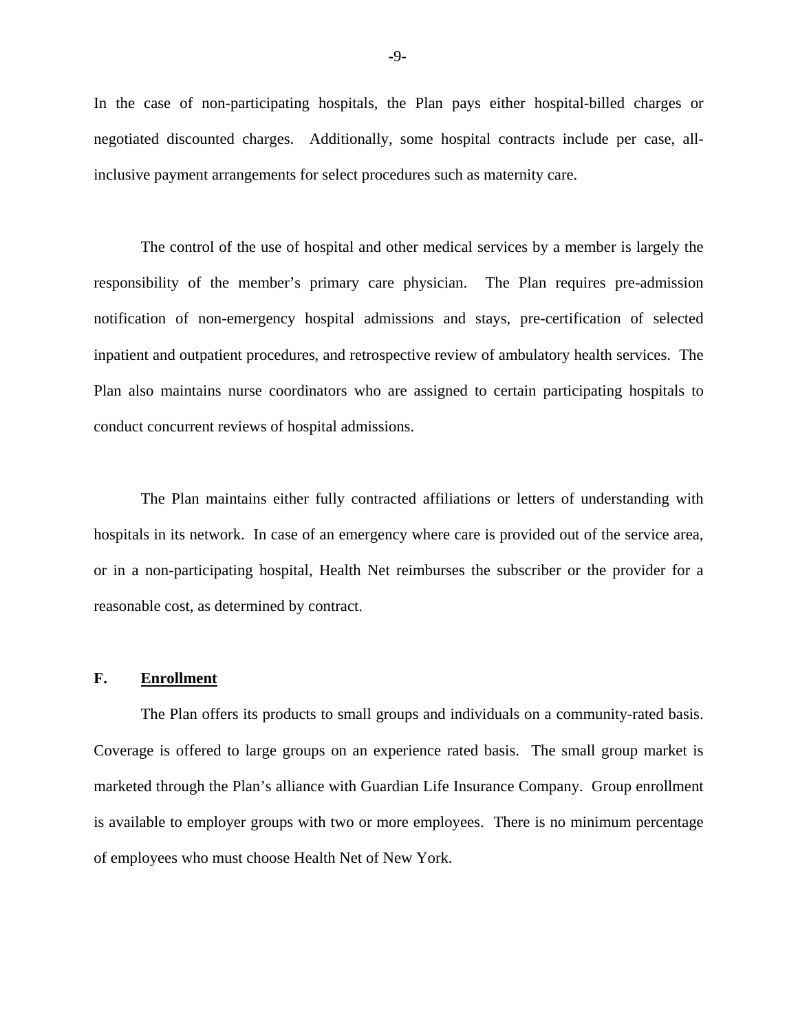In the case of non-participating hospitals, the Plan pays either hospital-billed charges or negotiated discounted charges. Additionally, some hospital contracts include per case, allinclusive payment arrangements for select procedures such as maternity care.

The control of the use of hospital and other medical services by a member is largely the responsibility of the member's primary care physician. The Plan requires pre-admission notification of non-emergency hospital admissions and stays, pre-certification of selected inpatient and outpatient procedures, and retrospective review of ambulatory health services. The Plan also maintains nurse coordinators who are assigned to certain participating hospitals to conduct concurrent reviews of hospital admissions.

The Plan maintains either fully contracted affiliations or letters of understanding with hospitals in its network. In case of an emergency where care is provided out of the service area, or in a non-participating hospital, Health Net reimburses the subscriber or the provider for a reasonable cost, as determined by contract.

#### **F. Enrollment**

The Plan offers its products to small groups and individuals on a community-rated basis. Coverage is offered to large groups on an experience rated basis. The small group market is marketed through the Plan's alliance with Guardian Life Insurance Company. Group enrollment is available to employer groups with two or more employees. There is no minimum percentage of employees who must choose Health Net of New York.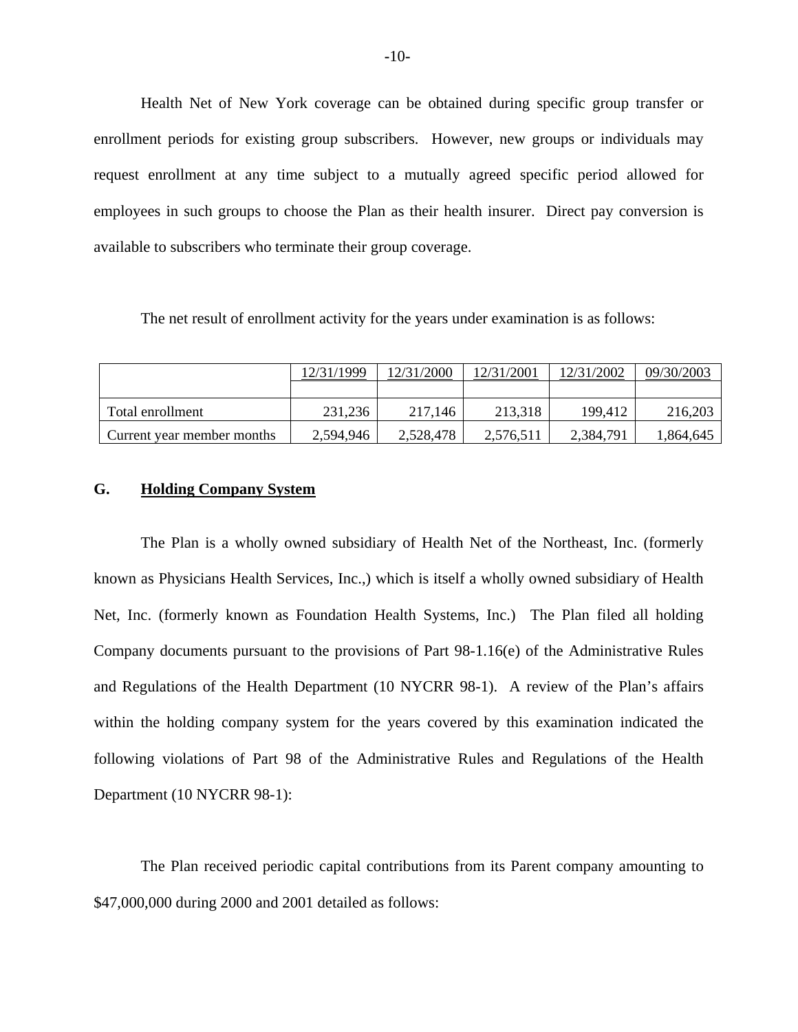Health Net of New York coverage can be obtained during specific group transfer or enrollment periods for existing group subscribers. However, new groups or individuals may request enrollment at any time subject to a mutually agreed specific period allowed for employees in such groups to choose the Plan as their health insurer. Direct pay conversion is available to subscribers who terminate their group coverage.

The net result of enrollment activity for the years under examination is as follows:

|                            | 12/31/1999 | 12/31/2000 | 12/31/2001 | 12/31/2002 | 09/30/2003 |
|----------------------------|------------|------------|------------|------------|------------|
|                            |            |            |            |            |            |
| Total enrollment           | 231,236    | 217,146    | 213,318    | 199.412    | 216,203    |
| Current year member months | 2,594,946  | 2,528,478  | 2,576,511  | 2,384,791  | 1,864,645  |

#### **G. Holding Company System**

The Plan is a wholly owned subsidiary of Health Net of the Northeast, Inc. (formerly known as Physicians Health Services, Inc.,) which is itself a wholly owned subsidiary of Health Net, Inc. (formerly known as Foundation Health Systems, Inc.) The Plan filed all holding Company documents pursuant to the provisions of Part 98-1.16(e) of the Administrative Rules and Regulations of the Health Department (10 NYCRR 98-1). A review of the Plan's affairs within the holding company system for the years covered by this examination indicated the following violations of Part 98 of the Administrative Rules and Regulations of the Health Department (10 NYCRR 98-1):

The Plan received periodic capital contributions from its Parent company amounting to \$47,000,000 during 2000 and 2001 detailed as follows: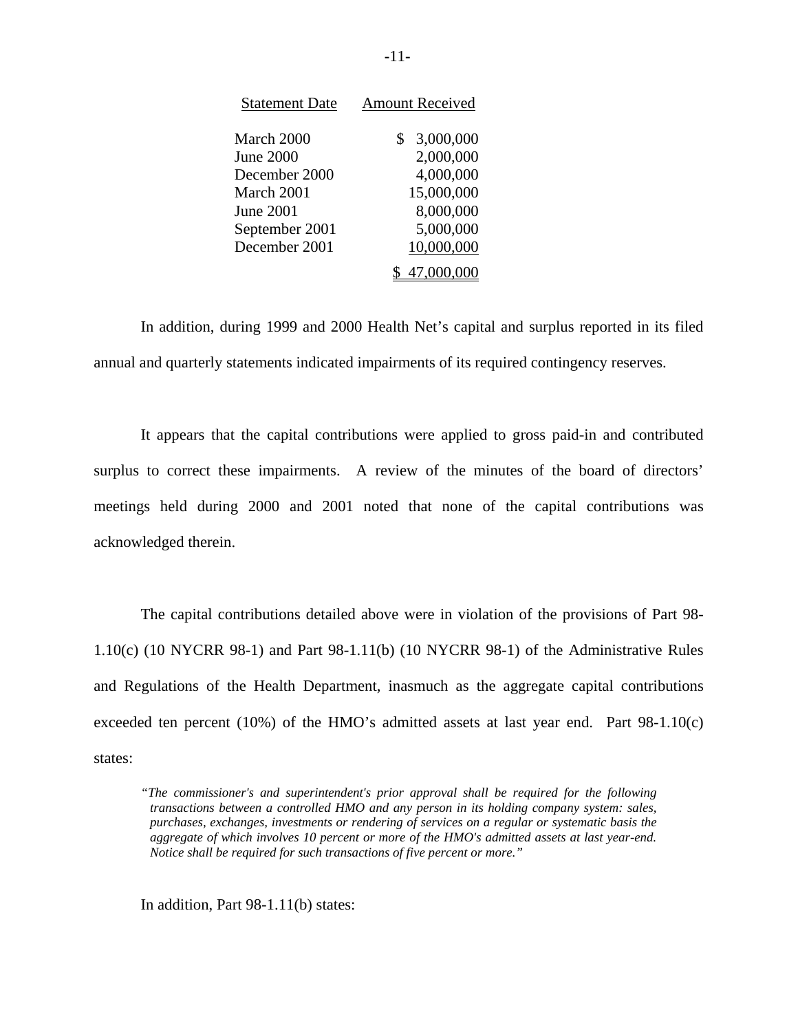| <b>Statement Date</b> | <b>Amount Received</b> |
|-----------------------|------------------------|
| March 2000            | 3,000,000<br>\$        |
| <b>June 2000</b>      | 2,000,000              |
| December 2000         | 4,000,000              |
| March 2001            | 15,000,000             |
| June 2001             | 8,000,000              |
| September 2001        | 5,000,000              |
| December 2001         | 10,000,000             |
|                       | 47,000,000             |

In addition, during 1999 and 2000 Health Net's capital and surplus reported in its filed annual and quarterly statements indicated impairments of its required contingency reserves.

It appears that the capital contributions were applied to gross paid-in and contributed surplus to correct these impairments. A review of the minutes of the board of directors' meetings held during 2000 and 2001 noted that none of the capital contributions was acknowledged therein.

The capital contributions detailed above were in violation of the provisions of Part 98- 1.10(c) (10 NYCRR 98-1) and Part 98-1.11(b) (10 NYCRR 98-1) of the Administrative Rules and Regulations of the Health Department, inasmuch as the aggregate capital contributions exceeded ten percent  $(10%)$  of the HMO's admitted assets at last year end. Part 98-1.10(c) states:

*"The commissioner's and superintendent's prior approval shall be required for the following transactions between a controlled HMO and any person in its holding company system: sales, purchases, exchanges, investments or rendering of services on a regular or systematic basis the aggregate of which involves 10 percent or more of the HMO's admitted assets at last year-end. Notice shall be required for such transactions of five percent or more."* 

In addition, Part 98-1.11(b) states: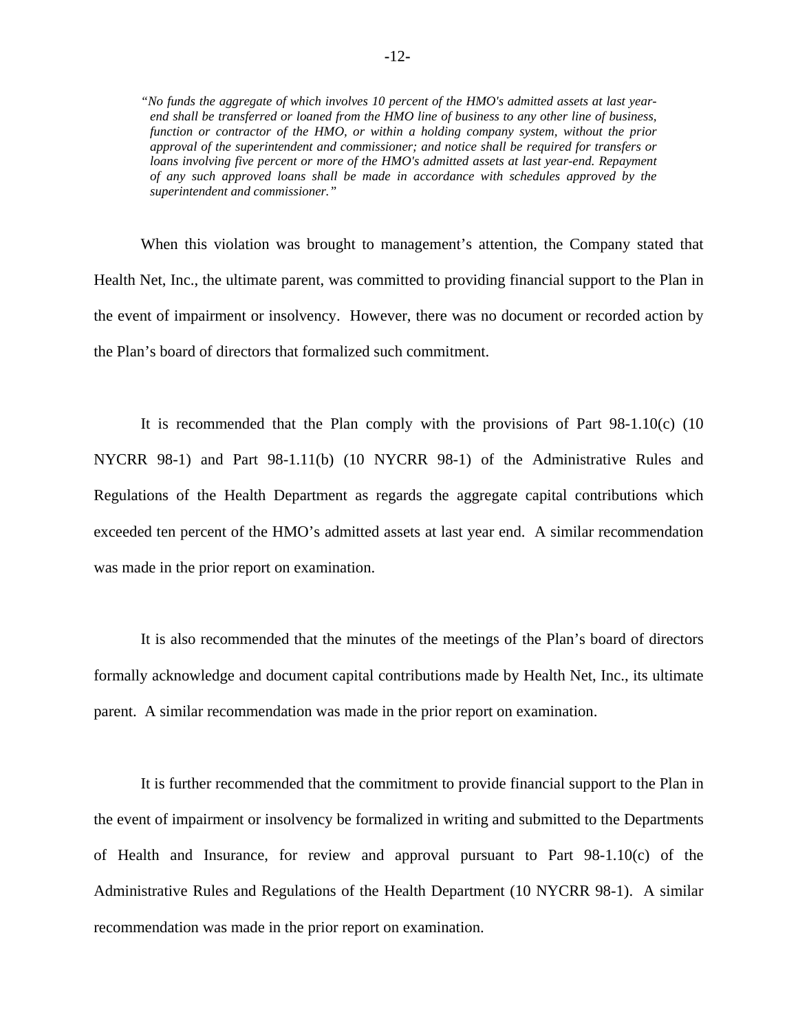*"No funds the aggregate of which involves 10 percent of the HMO's admitted assets at last yearend shall be transferred or loaned from the HMO line of business to any other line of business, function or contractor of the HMO, or within a holding company system, without the prior approval of the superintendent and commissioner; and notice shall be required for transfers or loans involving five percent or more of the HMO's admitted assets at last year-end. Repayment of any such approved loans shall be made in accordance with schedules approved by the superintendent and commissioner."* 

When this violation was brought to management's attention, the Company stated that Health Net, Inc., the ultimate parent, was committed to providing financial support to the Plan in the event of impairment or insolvency. However, there was no document or recorded action by the Plan's board of directors that formalized such commitment.

It is recommended that the Plan comply with the provisions of Part 98-1.10(c) (10 NYCRR 98-1) and Part 98-1.11(b) (10 NYCRR 98-1) of the Administrative Rules and Regulations of the Health Department as regards the aggregate capital contributions which exceeded ten percent of the HMO's admitted assets at last year end. A similar recommendation was made in the prior report on examination.

It is also recommended that the minutes of the meetings of the Plan's board of directors formally acknowledge and document capital contributions made by Health Net, Inc., its ultimate parent. A similar recommendation was made in the prior report on examination.

It is further recommended that the commitment to provide financial support to the Plan in the event of impairment or insolvency be formalized in writing and submitted to the Departments of Health and Insurance, for review and approval pursuant to Part 98-1.10(c) of the Administrative Rules and Regulations of the Health Department (10 NYCRR 98-1). A similar recommendation was made in the prior report on examination.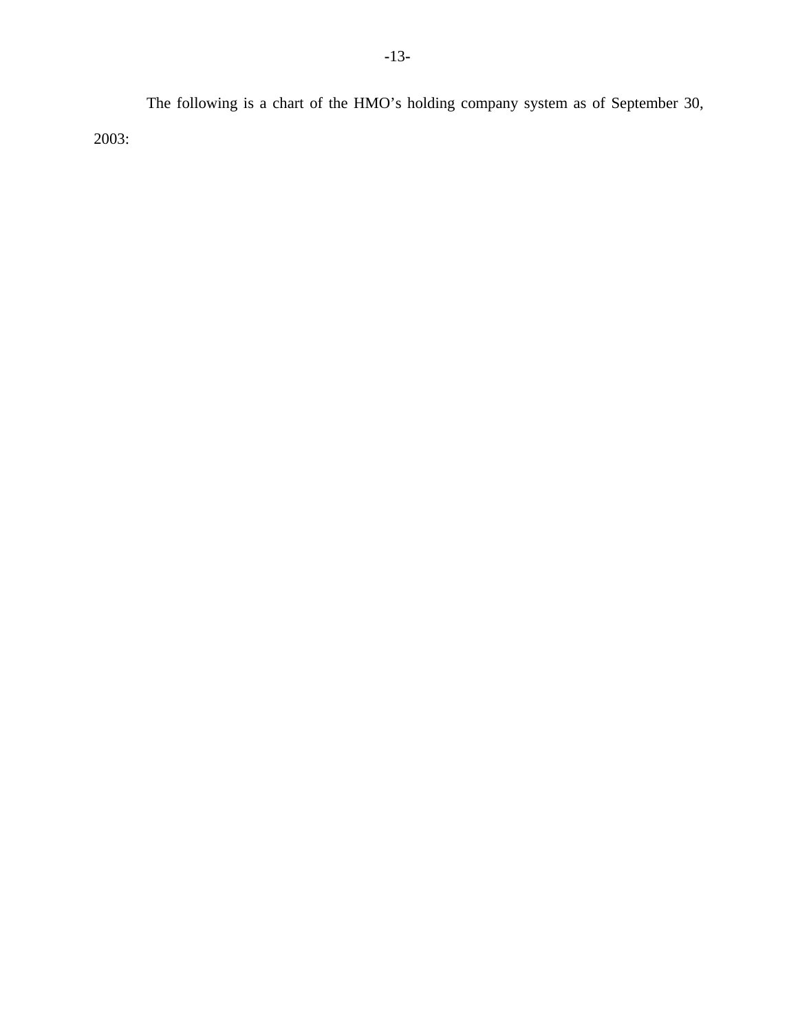The following is a chart of the HMO's holding company system as of September 30, 2003: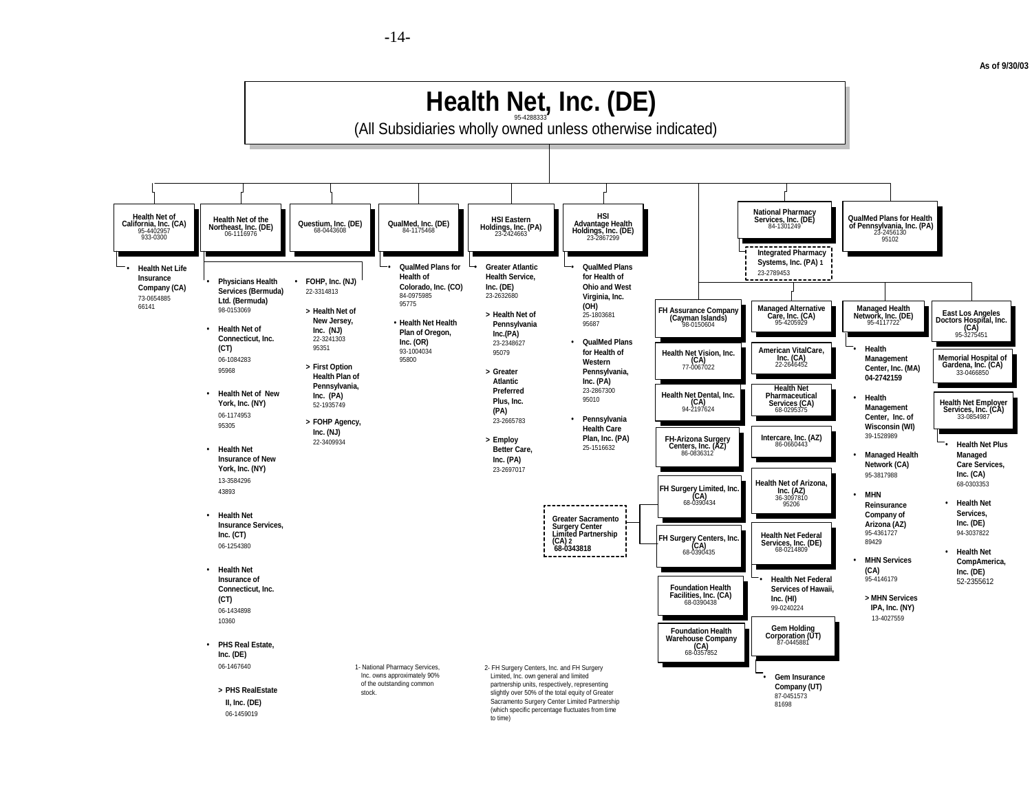**As of 9/30/03** 



**-**14**-**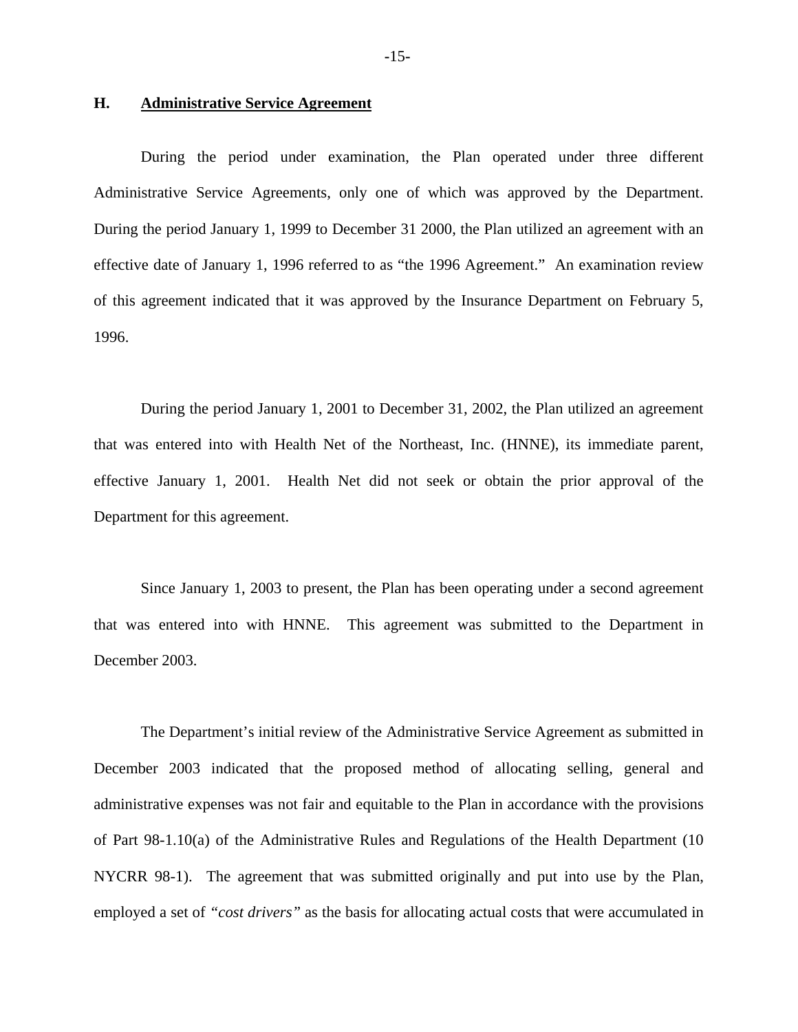#### **H. Administrative Service Agreement**

During the period under examination, the Plan operated under three different Administrative Service Agreements, only one of which was approved by the Department. During the period January 1, 1999 to December 31 2000, the Plan utilized an agreement with an effective date of January 1, 1996 referred to as "the 1996 Agreement." An examination review of this agreement indicated that it was approved by the Insurance Department on February 5, 1996.

During the period January 1, 2001 to December 31, 2002, the Plan utilized an agreement that was entered into with Health Net of the Northeast, Inc. (HNNE), its immediate parent, effective January 1, 2001. Health Net did not seek or obtain the prior approval of the Department for this agreement.

Since January 1, 2003 to present, the Plan has been operating under a second agreement that was entered into with HNNE. This agreement was submitted to the Department in December 2003.

The Department's initial review of the Administrative Service Agreement as submitted in December 2003 indicated that the proposed method of allocating selling, general and administrative expenses was not fair and equitable to the Plan in accordance with the provisions of Part 98-1.10(a) of the Administrative Rules and Regulations of the Health Department (10 NYCRR 98-1). The agreement that was submitted originally and put into use by the Plan, employed a set of *"cost drivers"* as the basis for allocating actual costs that were accumulated in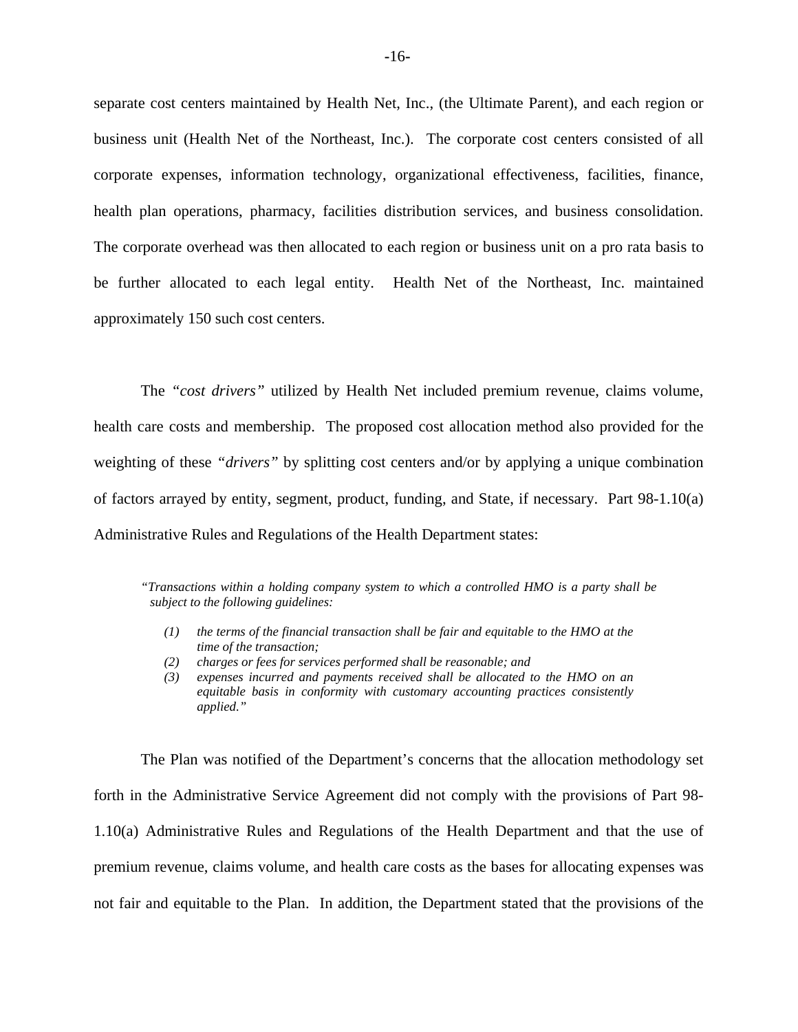separate cost centers maintained by Health Net, Inc., (the Ultimate Parent), and each region or business unit (Health Net of the Northeast, Inc.). The corporate cost centers consisted of all corporate expenses, information technology, organizational effectiveness, facilities, finance, health plan operations, pharmacy, facilities distribution services, and business consolidation. The corporate overhead was then allocated to each region or business unit on a pro rata basis to be further allocated to each legal entity. Health Net of the Northeast, Inc. maintained approximately 150 such cost centers.

The *"cost drivers"* utilized by Health Net included premium revenue, claims volume, health care costs and membership. The proposed cost allocation method also provided for the weighting of these *"drivers"* by splitting cost centers and/or by applying a unique combination of factors arrayed by entity, segment, product, funding, and State, if necessary. Part 98-1.10(a) Administrative Rules and Regulations of the Health Department states:

*"Transactions within a holding company system to which a controlled HMO is a party shall be subject to the following guidelines:* 

- *(1) the terms of the financial transaction shall be fair and equitable to the HMO at the time of the transaction;*
- *(2) charges or fees for services performed shall be reasonable; and*
- *(3) expenses incurred and payments received shall be allocated to the HMO on an equitable basis in conformity with customary accounting practices consistently applied."*

The Plan was notified of the Department's concerns that the allocation methodology set forth in the Administrative Service Agreement did not comply with the provisions of Part 98- 1.10(a) Administrative Rules and Regulations of the Health Department and that the use of premium revenue, claims volume, and health care costs as the bases for allocating expenses was not fair and equitable to the Plan. In addition, the Department stated that the provisions of the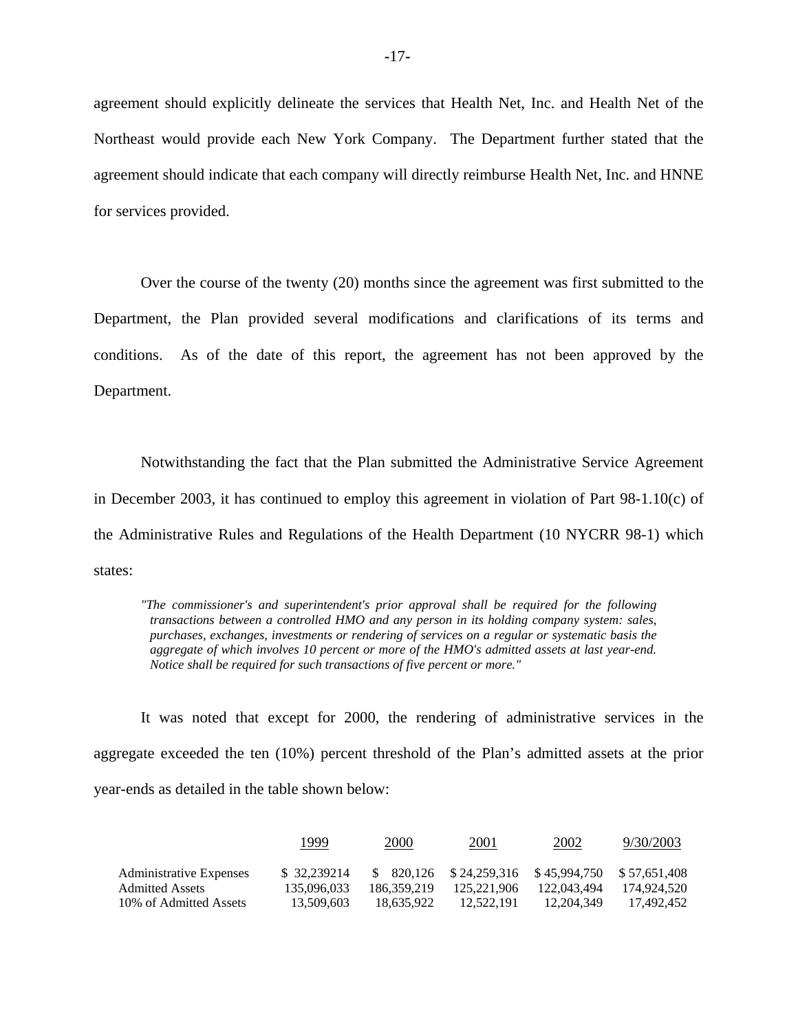agreement should explicitly delineate the services that Health Net, Inc. and Health Net of the Northeast would provide each New York Company. The Department further stated that the agreement should indicate that each company will directly reimburse Health Net, Inc. and HNNE for services provided.

Over the course of the twenty (20) months since the agreement was first submitted to the Department, the Plan provided several modifications and clarifications of its terms and conditions. As of the date of this report, the agreement has not been approved by the Department.

Notwithstanding the fact that the Plan submitted the Administrative Service Agreement in December 2003, it has continued to employ this agreement in violation of Part  $98-1.10(c)$  of the Administrative Rules and Regulations of the Health Department (10 NYCRR 98-1) which states:

*"The commissioner's and superintendent's prior approval shall be required for the following transactions between a controlled HMO and any person in its holding company system: sales, purchases, exchanges, investments or rendering of services on a regular or systematic basis the aggregate of which involves 10 percent or more of the HMO's admitted assets at last year-end. Notice shall be required for such transactions of five percent or more."* 

It was noted that except for 2000, the rendering of administrative services in the aggregate exceeded the ten (10%) percent threshold of the Plan's admitted assets at the prior year-ends as detailed in the table shown below:

|                                                   | 1999                        | 2000        | 2001                                                                | 2002        | 9/30/2003   |
|---------------------------------------------------|-----------------------------|-------------|---------------------------------------------------------------------|-------------|-------------|
| Administrative Expenses<br><b>Admitted Assets</b> | \$ 32,239214<br>135,096,033 | 186.359.219 | $$820.126$ $$24.259.316$ $$45.994.750$ $$57.651.408$<br>125.221.906 | 122,043,494 | 174.924.520 |
| 10% of Admitted Assets                            | 13.509.603                  | 18.635.922  | 12.522.191                                                          | 12.204.349  | 17.492.452  |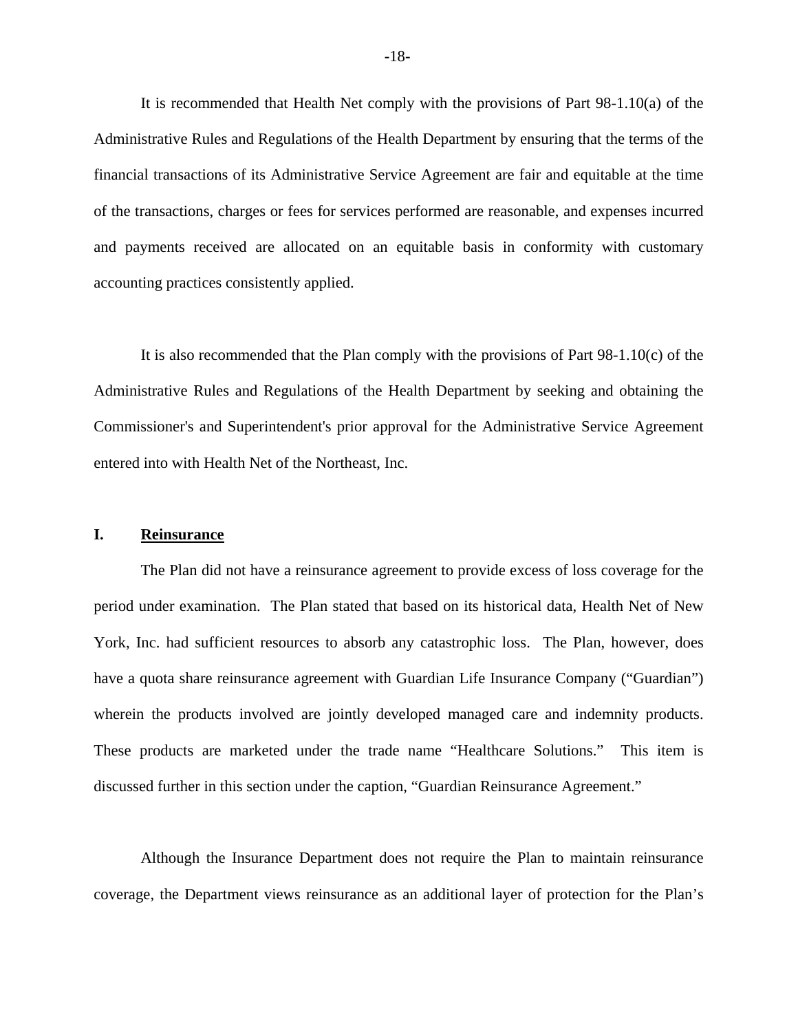It is recommended that Health Net comply with the provisions of Part 98-1.10(a) of the Administrative Rules and Regulations of the Health Department by ensuring that the terms of the financial transactions of its Administrative Service Agreement are fair and equitable at the time of the transactions, charges or fees for services performed are reasonable, and expenses incurred and payments received are allocated on an equitable basis in conformity with customary accounting practices consistently applied.

It is also recommended that the Plan comply with the provisions of Part 98-1.10(c) of the Administrative Rules and Regulations of the Health Department by seeking and obtaining the Commissioner's and Superintendent's prior approval for the Administrative Service Agreement entered into with Health Net of the Northeast, Inc.

#### **I. Reinsurance**

The Plan did not have a reinsurance agreement to provide excess of loss coverage for the period under examination. The Plan stated that based on its historical data, Health Net of New York, Inc. had sufficient resources to absorb any catastrophic loss. The Plan, however, does have a quota share reinsurance agreement with Guardian Life Insurance Company ("Guardian") wherein the products involved are jointly developed managed care and indemnity products. These products are marketed under the trade name "Healthcare Solutions." This item is discussed further in this section under the caption, "Guardian Reinsurance Agreement."

Although the Insurance Department does not require the Plan to maintain reinsurance coverage, the Department views reinsurance as an additional layer of protection for the Plan's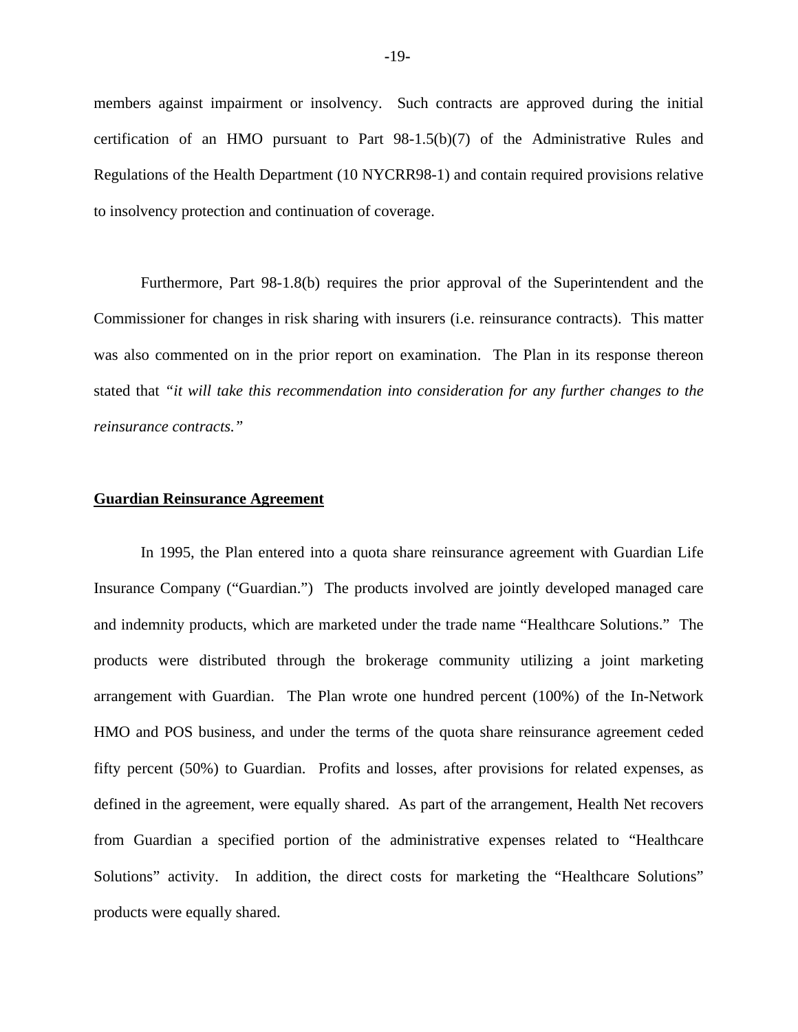members against impairment or insolvency. Such contracts are approved during the initial certification of an HMO pursuant to Part 98-1.5(b)(7) of the Administrative Rules and Regulations of the Health Department (10 NYCRR98-1) and contain required provisions relative to insolvency protection and continuation of coverage.

Furthermore, Part 98-1.8(b) requires the prior approval of the Superintendent and the Commissioner for changes in risk sharing with insurers (i.e. reinsurance contracts). This matter was also commented on in the prior report on examination. The Plan in its response thereon stated that *"it will take this recommendation into consideration for any further changes to the reinsurance contracts."* 

#### **Guardian Reinsurance Agreement**

In 1995, the Plan entered into a quota share reinsurance agreement with Guardian Life Insurance Company ("Guardian.") The products involved are jointly developed managed care and indemnity products, which are marketed under the trade name "Healthcare Solutions." The products were distributed through the brokerage community utilizing a joint marketing arrangement with Guardian. The Plan wrote one hundred percent (100%) of the In-Network HMO and POS business, and under the terms of the quota share reinsurance agreement ceded fifty percent (50%) to Guardian. Profits and losses, after provisions for related expenses, as defined in the agreement, were equally shared. As part of the arrangement, Health Net recovers from Guardian a specified portion of the administrative expenses related to "Healthcare Solutions" activity. In addition, the direct costs for marketing the "Healthcare Solutions" products were equally shared.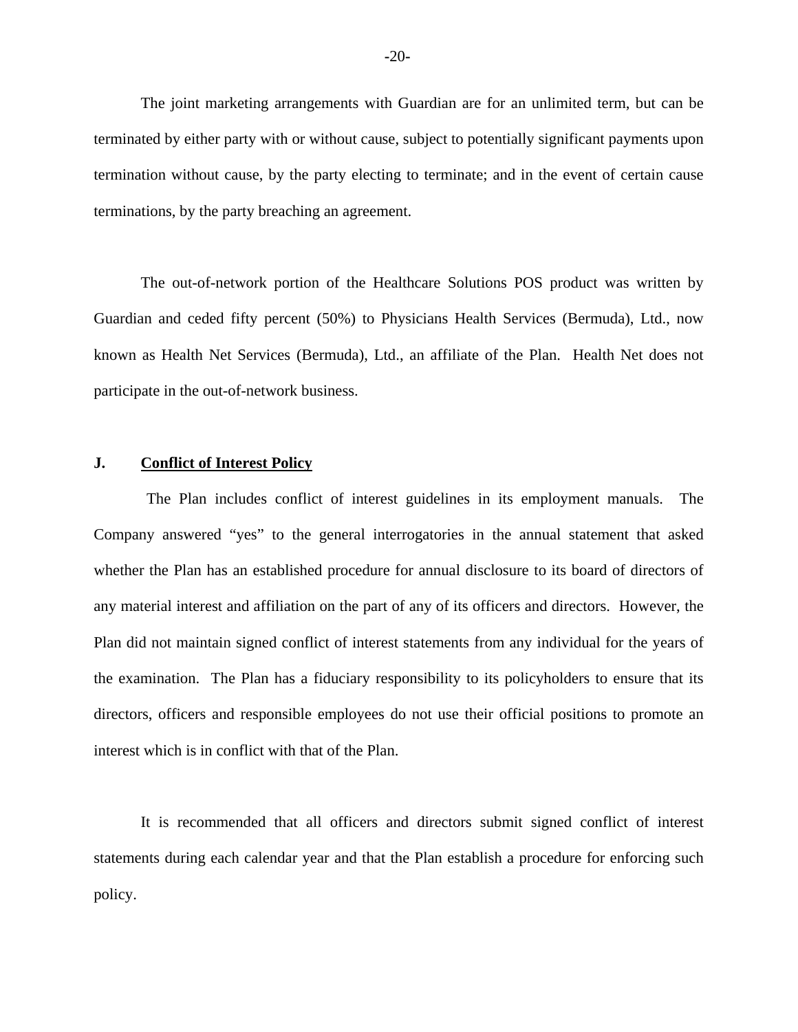The joint marketing arrangements with Guardian are for an unlimited term, but can be terminated by either party with or without cause, subject to potentially significant payments upon termination without cause, by the party electing to terminate; and in the event of certain cause terminations, by the party breaching an agreement.

The out-of-network portion of the Healthcare Solutions POS product was written by Guardian and ceded fifty percent (50%) to Physicians Health Services (Bermuda), Ltd., now known as Health Net Services (Bermuda), Ltd., an affiliate of the Plan. Health Net does not participate in the out-of-network business.

#### **J. Conflict of Interest Policy**

The Plan includes conflict of interest guidelines in its employment manuals. The Company answered "yes" to the general interrogatories in the annual statement that asked whether the Plan has an established procedure for annual disclosure to its board of directors of any material interest and affiliation on the part of any of its officers and directors. However, the Plan did not maintain signed conflict of interest statements from any individual for the years of the examination. The Plan has a fiduciary responsibility to its policyholders to ensure that its directors, officers and responsible employees do not use their official positions to promote an interest which is in conflict with that of the Plan.

It is recommended that all officers and directors submit signed conflict of interest statements during each calendar year and that the Plan establish a procedure for enforcing such policy.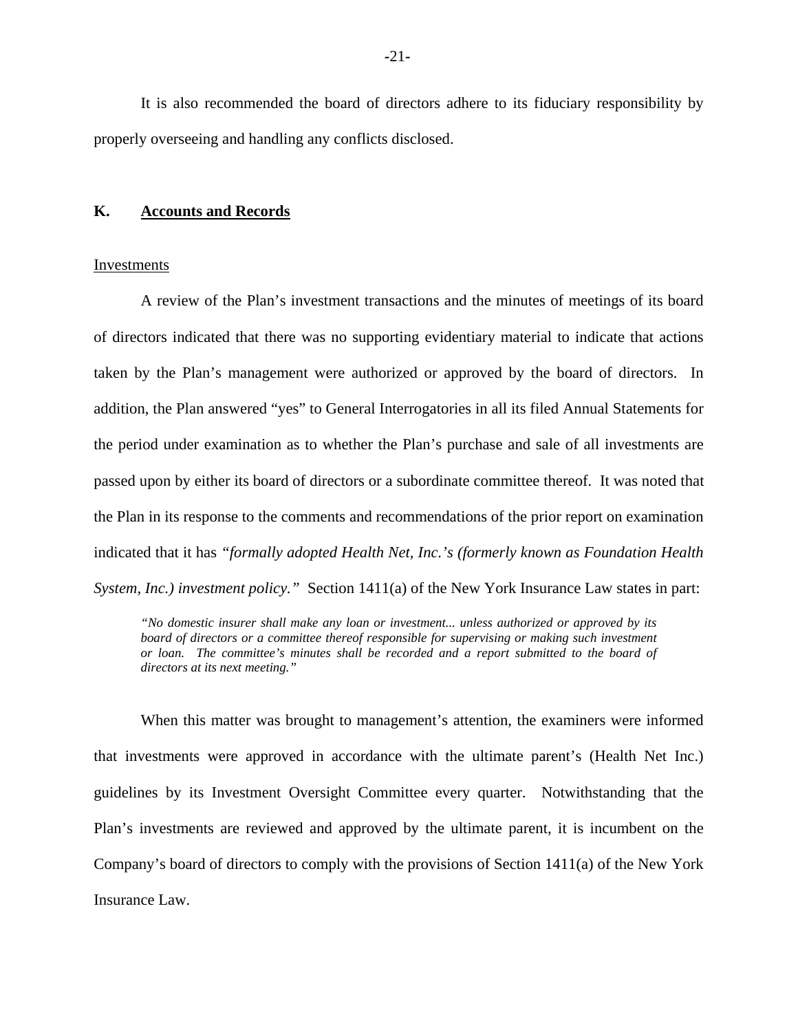It is also recommended the board of directors adhere to its fiduciary responsibility by properly overseeing and handling any conflicts disclosed.

#### **K. Accounts and Records**

#### Investments

A review of the Plan's investment transactions and the minutes of meetings of its board of directors indicated that there was no supporting evidentiary material to indicate that actions taken by the Plan's management were authorized or approved by the board of directors. In addition, the Plan answered "yes" to General Interrogatories in all its filed Annual Statements for the period under examination as to whether the Plan's purchase and sale of all investments are passed upon by either its board of directors or a subordinate committee thereof. It was noted that the Plan in its response to the comments and recommendations of the prior report on examination indicated that it has *"formally adopted Health Net, Inc.'s (formerly known as Foundation Health System, Inc.) investment policy."* Section 1411(a) of the New York Insurance Law states in part:

 *or loan. The committee's minutes shall be recorded and a report submitted to the board of "No domestic insurer shall make any loan or investment... unless authorized or approved by its*  board of directors or a committee thereof responsible for supervising or making such investment *directors at its next meeting."* 

When this matter was brought to management's attention, the examiners were informed that investments were approved in accordance with the ultimate parent's (Health Net Inc.) guidelines by its Investment Oversight Committee every quarter. Notwithstanding that the Plan's investments are reviewed and approved by the ultimate parent, it is incumbent on the Company's board of directors to comply with the provisions of Section 1411(a) of the New York Insurance Law.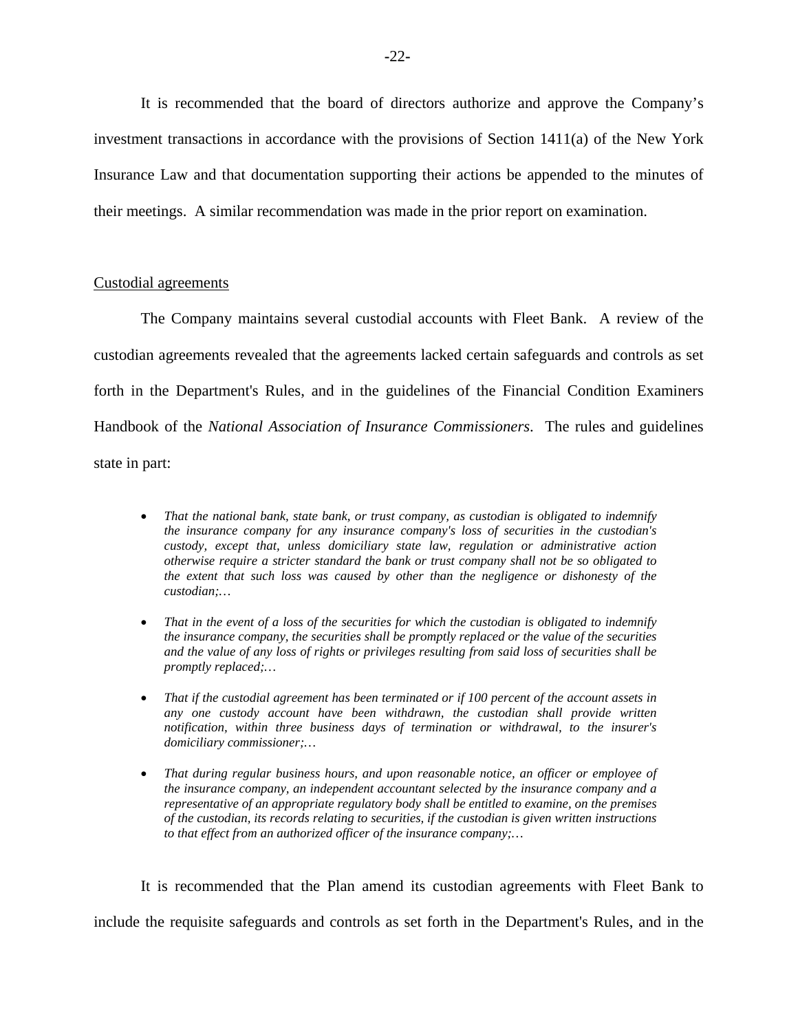It is recommended that the board of directors authorize and approve the Company's investment transactions in accordance with the provisions of Section  $1411(a)$  of the New York Insurance Law and that documentation supporting their actions be appended to the minutes of their meetings. A similar recommendation was made in the prior report on examination.

#### Custodial agreements

The Company maintains several custodial accounts with Fleet Bank. A review of the custodian agreements revealed that the agreements lacked certain safeguards and controls as set forth in the Department's Rules, and in the guidelines of the Financial Condition Examiners Handbook of the *National Association of Insurance Commissioners*. The rules and guidelines state in part:

- *otherwise require a stricter standard the bank or trust company shall not be so obligated to*  • *That the national bank, state bank, or trust company, as custodian is obligated to indemnify the insurance company for any insurance company's loss of securities in the custodian's custody, except that, unless domiciliary state law, regulation or administrative action the extent that such loss was caused by other than the negligence or dishonesty of the custodian;…*
- *That in the event of a loss of the securities for which the custodian is obligated to indemnify the insurance company, the securities shall be promptly replaced or the value of the securities and the value of any loss of rights or privileges resulting from said loss of securities shall be promptly replaced;…*
- That if the custodial agreement has been terminated or if 100 percent of the account assets in *any one custody account have been withdrawn, the custodian shall provide written notification, within three business days of termination or withdrawal, to the insurer's domiciliary commissioner;…*
- *to that effect from an authorized officer of the insurance company;…*  • *That during regular business hours, and upon reasonable notice, an officer or employee of the insurance company, an independent accountant selected by the insurance company and a representative of an appropriate regulatory body shall be entitled to examine, on the premises of the custodian, its records relating to securities, if the custodian is given written instructions*

It is recommended that the Plan amend its custodian agreements with Fleet Bank to include the requisite safeguards and controls as set forth in the Department's Rules, and in the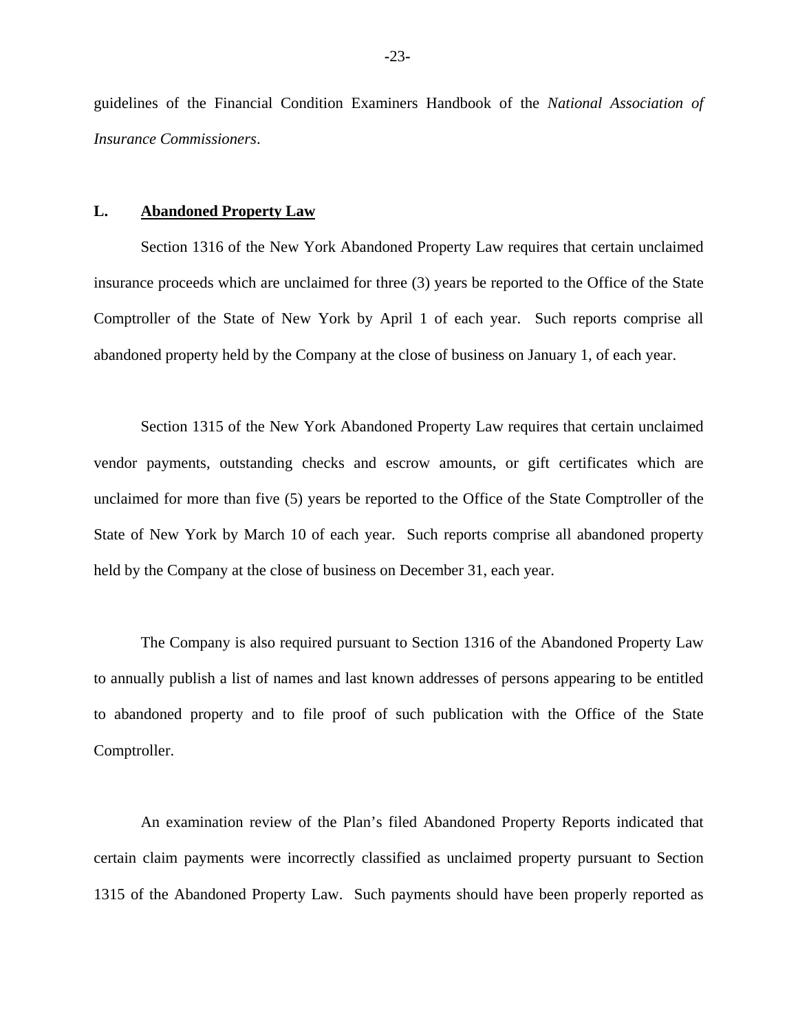guidelines of the Financial Condition Examiners Handbook of the *National Association of Insurance Commissioners*.

#### **L. Abandoned Property Law**

Section 1316 of the New York Abandoned Property Law requires that certain unclaimed insurance proceeds which are unclaimed for three (3) years be reported to the Office of the State Comptroller of the State of New York by April 1 of each year. Such reports comprise all abandoned property held by the Company at the close of business on January 1, of each year.

 State of New York by March 10 of each year. Such reports comprise all abandoned property Section 1315 of the New York Abandoned Property Law requires that certain unclaimed vendor payments, outstanding checks and escrow amounts, or gift certificates which are unclaimed for more than five (5) years be reported to the Office of the State Comptroller of the held by the Company at the close of business on December 31, each year.

The Company is also required pursuant to Section 1316 of the Abandoned Property Law to annually publish a list of names and last known addresses of persons appearing to be entitled to abandoned property and to file proof of such publication with the Office of the State Comptroller.

An examination review of the Plan's filed Abandoned Property Reports indicated that certain claim payments were incorrectly classified as unclaimed property pursuant to Section 1315 of the Abandoned Property Law. Such payments should have been properly reported as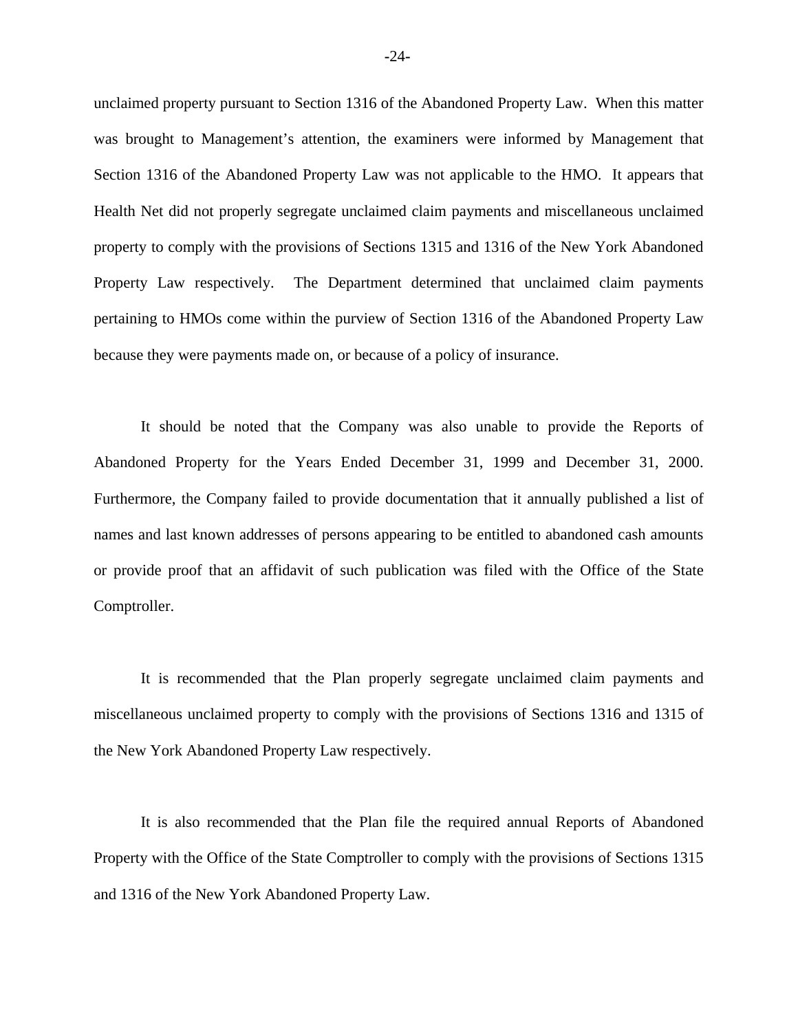unclaimed property pursuant to Section 1316 of the Abandoned Property Law. When this matter was brought to Management's attention, the examiners were informed by Management that Section 1316 of the Abandoned Property Law was not applicable to the HMO. It appears that Health Net did not properly segregate unclaimed claim payments and miscellaneous unclaimed property to comply with the provisions of Sections 1315 and 1316 of the New York Abandoned Property Law respectively. The Department determined that unclaimed claim payments pertaining to HMOs come within the purview of Section 1316 of the Abandoned Property Law because they were payments made on, or because of a policy of insurance.

It should be noted that the Company was also unable to provide the Reports of Abandoned Property for the Years Ended December 31, 1999 and December 31, 2000. Furthermore, the Company failed to provide documentation that it annually published a list of names and last known addresses of persons appearing to be entitled to abandoned cash amounts or provide proof that an affidavit of such publication was filed with the Office of the State Comptroller.

It is recommended that the Plan properly segregate unclaimed claim payments and miscellaneous unclaimed property to comply with the provisions of Sections 1316 and 1315 of the New York Abandoned Property Law respectively.

It is also recommended that the Plan file the required annual Reports of Abandoned Property with the Office of the State Comptroller to comply with the provisions of Sections 1315 and 1316 of the New York Abandoned Property Law.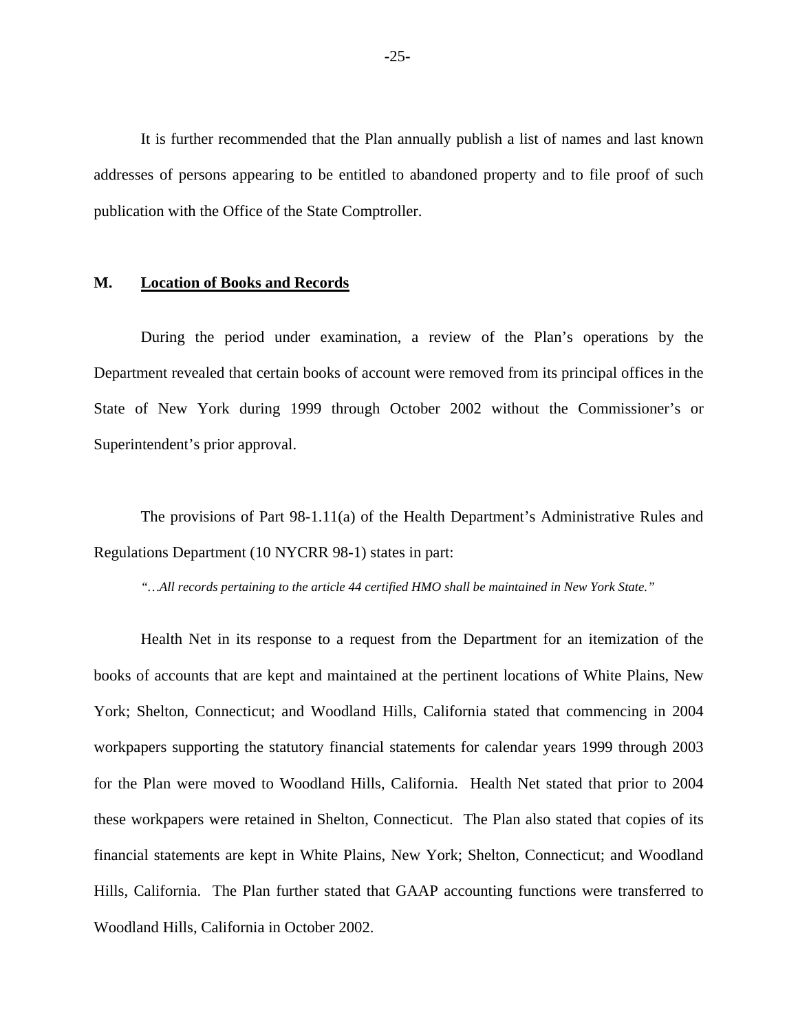It is further recommended that the Plan annually publish a list of names and last known addresses of persons appearing to be entitled to abandoned property and to file proof of such publication with the Office of the State Comptroller.

#### **M. Location of Books and Records**

During the period under examination, a review of the Plan's operations by the Department revealed that certain books of account were removed from its principal offices in the State of New York during 1999 through October 2002 without the Commissioner's or Superintendent's prior approval.

The provisions of Part 98-1.11(a) of the Health Department's Administrative Rules and Regulations Department (10 NYCRR 98-1) states in part:

*"…All records pertaining to the article 44 certified HMO shall be maintained in New York State."* 

Health Net in its response to a request from the Department for an itemization of the books of accounts that are kept and maintained at the pertinent locations of White Plains, New York; Shelton, Connecticut; and Woodland Hills, California stated that commencing in 2004 workpapers supporting the statutory financial statements for calendar years 1999 through 2003 for the Plan were moved to Woodland Hills, California. Health Net stated that prior to 2004 these workpapers were retained in Shelton, Connecticut. The Plan also stated that copies of its financial statements are kept in White Plains, New York; Shelton, Connecticut; and Woodland Hills, California. The Plan further stated that GAAP accounting functions were transferred to Woodland Hills, California in October 2002.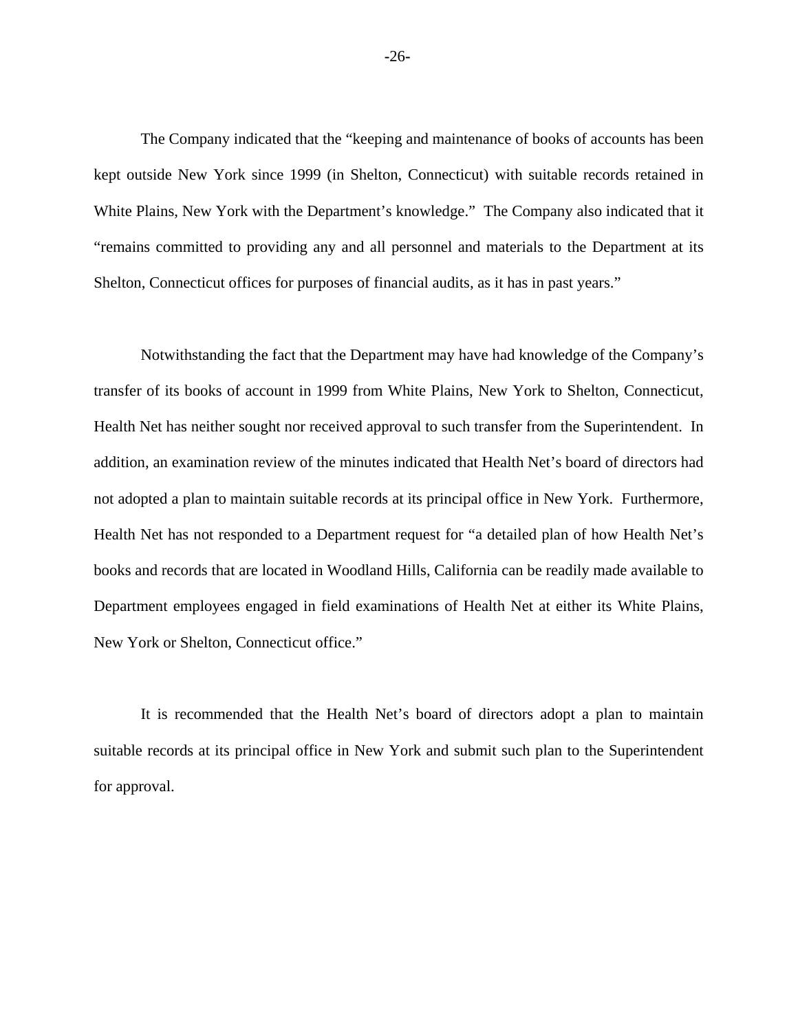The Company indicated that the "keeping and maintenance of books of accounts has been kept outside New York since 1999 (in Shelton, Connecticut) with suitable records retained in White Plains, New York with the Department's knowledge." The Company also indicated that it "remains committed to providing any and all personnel and materials to the Department at its Shelton, Connecticut offices for purposes of financial audits, as it has in past years."

Notwithstanding the fact that the Department may have had knowledge of the Company's transfer of its books of account in 1999 from White Plains, New York to Shelton, Connecticut, Health Net has neither sought nor received approval to such transfer from the Superintendent. In addition, an examination review of the minutes indicated that Health Net's board of directors had not adopted a plan to maintain suitable records at its principal office in New York. Furthermore, Health Net has not responded to a Department request for "a detailed plan of how Health Net's books and records that are located in Woodland Hills, California can be readily made available to Department employees engaged in field examinations of Health Net at either its White Plains, New York or Shelton, Connecticut office."

It is recommended that the Health Net's board of directors adopt a plan to maintain suitable records at its principal office in New York and submit such plan to the Superintendent for approval.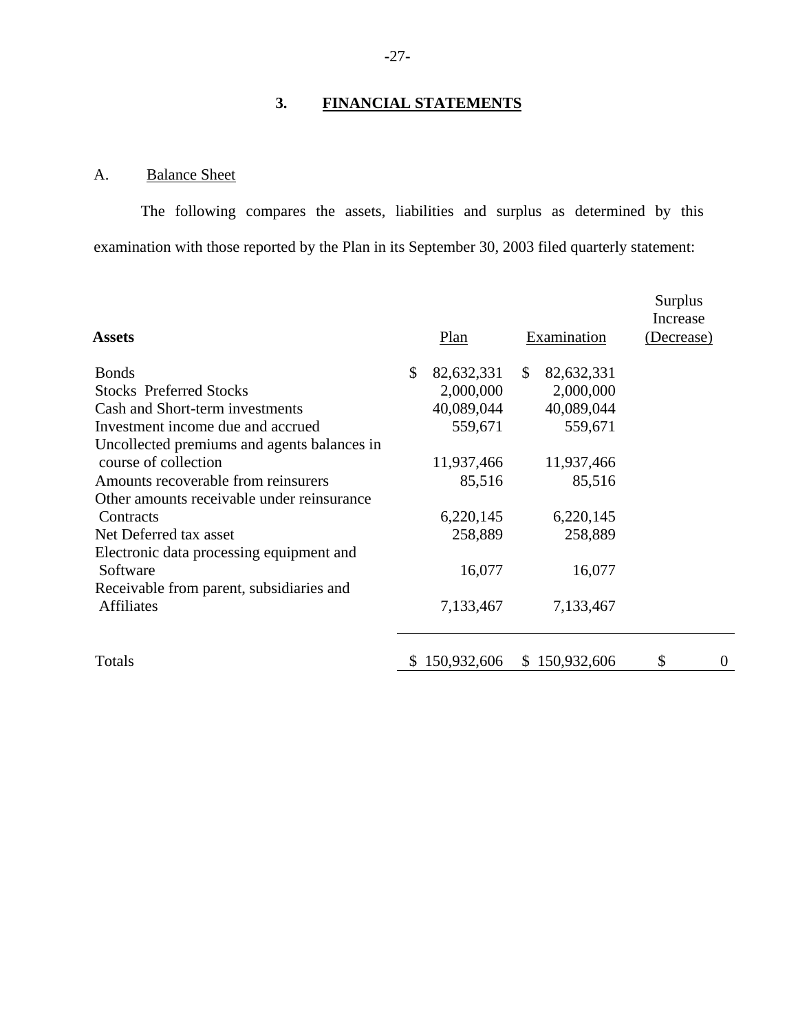# **3. FINANCIAL STATEMENTS**

# A. Balance Sheet

The following compares the assets, liabilities and surplus as determined by this examination with those reported by the Plan in its September 30, 2003 filed quarterly statement:

|    |            |              |            |                              | Surplus<br>Increase |
|----|------------|--------------|------------|------------------------------|---------------------|
|    | Plan       |              |            |                              | (Decrease)          |
| \$ | 82,632,331 | $\mathbb{S}$ | 82,632,331 |                              |                     |
|    | 2,000,000  |              | 2,000,000  |                              |                     |
|    | 40,089,044 |              | 40,089,044 |                              |                     |
|    | 559,671    |              | 559,671    |                              |                     |
|    |            |              |            |                              |                     |
|    | 11,937,466 |              | 11,937,466 |                              |                     |
|    | 85,516     |              | 85,516     |                              |                     |
|    |            |              |            |                              |                     |
|    | 6,220,145  |              | 6,220,145  |                              |                     |
|    | 258,889    |              | 258,889    |                              |                     |
|    |            |              |            |                              |                     |
|    | 16,077     |              | 16,077     |                              |                     |
|    |            |              |            |                              |                     |
|    | 7,133,467  |              | 7,133,467  |                              |                     |
| S. |            |              |            | \$                           | $\theta$            |
|    |            | 150,932,606  |            | Examination<br>\$150,932,606 |                     |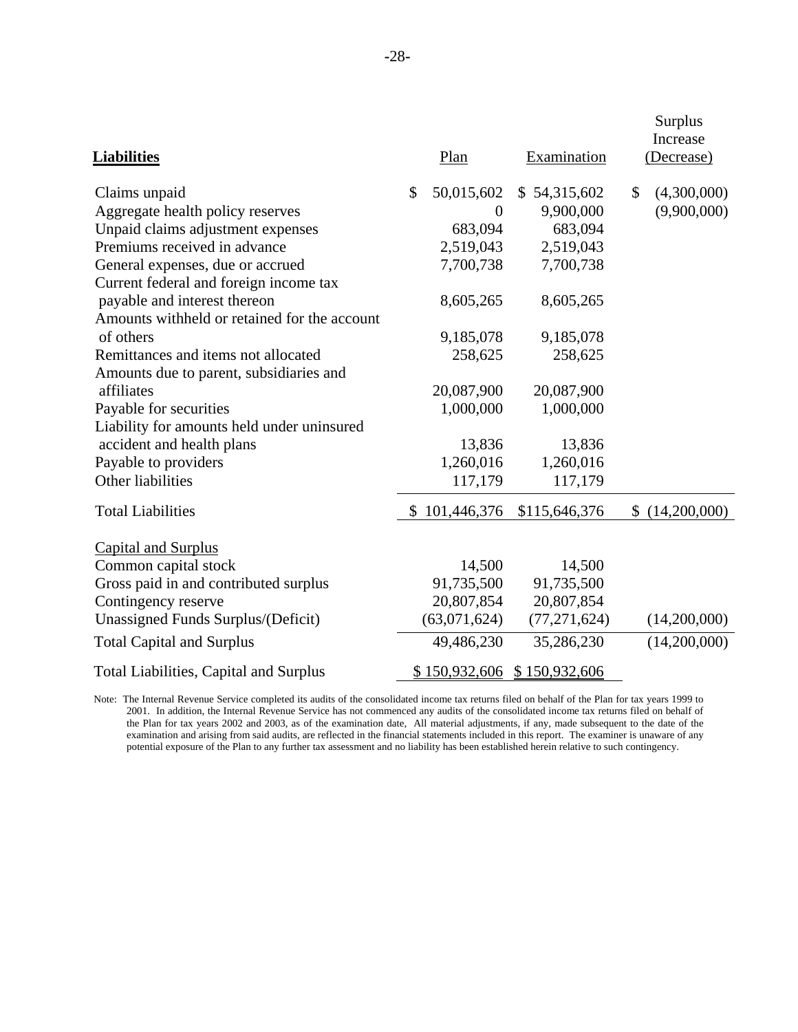| <b>Liabilities</b>                            | Plan             | Examination    | Surplus<br>Increase<br>(Decrease) |
|-----------------------------------------------|------------------|----------------|-----------------------------------|
| Claims unpaid                                 | \$<br>50,015,602 | \$54,315,602   | \$<br>(4,300,000)                 |
| Aggregate health policy reserves              | $\Omega$         | 9,900,000      | (9,900,000)                       |
| Unpaid claims adjustment expenses             | 683,094          | 683,094        |                                   |
| Premiums received in advance                  | 2,519,043        | 2,519,043      |                                   |
| General expenses, due or accrued              | 7,700,738        | 7,700,738      |                                   |
| Current federal and foreign income tax        |                  |                |                                   |
| payable and interest thereon                  | 8,605,265        | 8,605,265      |                                   |
| Amounts withheld or retained for the account  |                  |                |                                   |
| of others                                     | 9,185,078        | 9,185,078      |                                   |
| Remittances and items not allocated           | 258,625          | 258,625        |                                   |
| Amounts due to parent, subsidiaries and       |                  |                |                                   |
| affiliates                                    | 20,087,900       | 20,087,900     |                                   |
| Payable for securities                        | 1,000,000        | 1,000,000      |                                   |
| Liability for amounts held under uninsured    |                  |                |                                   |
| accident and health plans                     | 13,836           | 13,836         |                                   |
| Payable to providers                          | 1,260,016        | 1,260,016      |                                   |
| Other liabilities                             | 117,179          | 117,179        |                                   |
| <b>Total Liabilities</b>                      | \$101,446,376    | \$115,646,376  | \$<br>(14,200,000)                |
| <b>Capital and Surplus</b>                    |                  |                |                                   |
| Common capital stock                          | 14,500           | 14,500         |                                   |
| Gross paid in and contributed surplus         | 91,735,500       | 91,735,500     |                                   |
| Contingency reserve                           | 20,807,854       | 20,807,854     |                                   |
| Unassigned Funds Surplus/(Deficit)            | (63,071,624)     | (77, 271, 624) | (14,200,000)                      |
| <b>Total Capital and Surplus</b>              | 49,486,230       | 35,286,230     | (14,200,000)                      |
| <b>Total Liabilities, Capital and Surplus</b> | \$150,932,606    | \$150,932,606  |                                   |

 the Plan for tax years 2002 and 2003, as of the examination date, All material adjustments, if any, made subsequent to the date of the Note: The Internal Revenue Service completed its audits of the consolidated income tax returns filed on behalf of the Plan for tax years 1999 to 2001. In addition, the Internal Revenue Service has not commenced any audits of the consolidated income tax returns filed on behalf of examination and arising from said audits, are reflected in the financial statements included in this report. The examiner is unaware of any potential exposure of the Plan to any further tax assessment and no liability has been established herein relative to such contingency.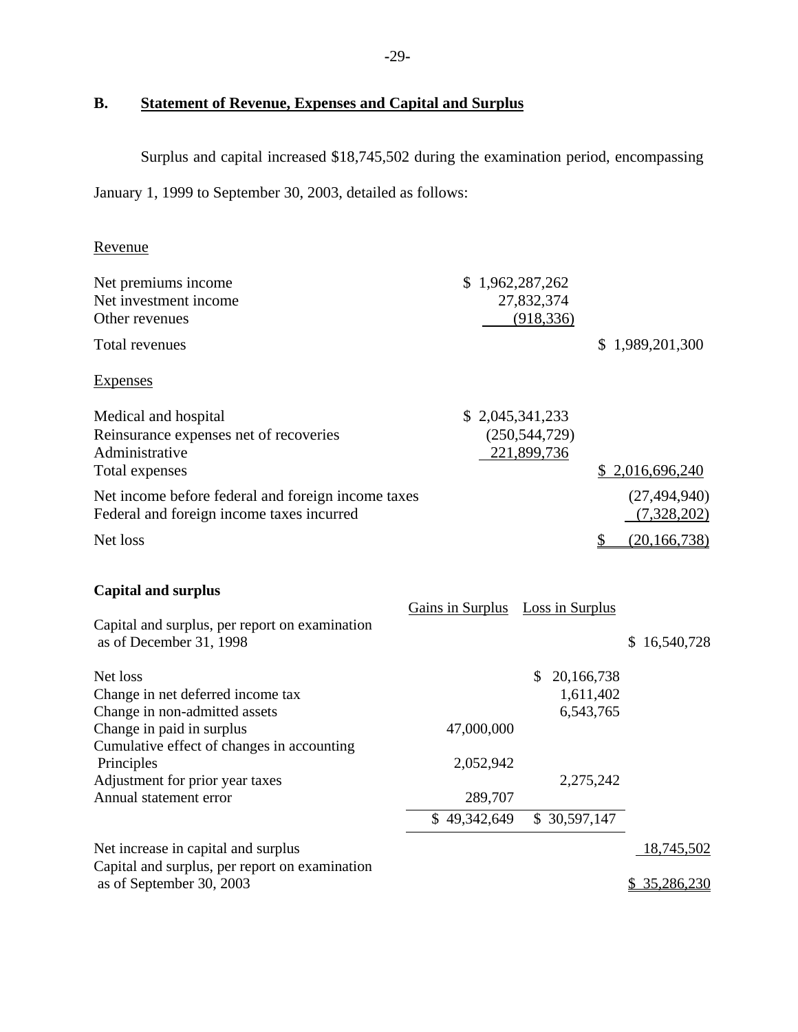# **B. Statement of Revenue, Expenses and Capital and Surplus**

Surplus and capital increased \$18,745,502 during the examination period, encompassing

January 1, 1999 to September 30, 2003, detailed as follows:

| Revenue                                                                                                                                                                                                                              |                                    |                                                     |                               |
|--------------------------------------------------------------------------------------------------------------------------------------------------------------------------------------------------------------------------------------|------------------------------------|-----------------------------------------------------|-------------------------------|
| Net premiums income<br>Net investment income<br>Other revenues                                                                                                                                                                       | \$1,962,287,262                    | 27,832,374<br>(918, 336)                            |                               |
| <b>Total revenues</b>                                                                                                                                                                                                                |                                    |                                                     | \$1,989,201,300               |
| <b>Expenses</b>                                                                                                                                                                                                                      |                                    |                                                     |                               |
| Medical and hospital<br>Reinsurance expenses net of recoveries<br>Administrative<br>Total expenses                                                                                                                                   | \$2,045,341,233                    | (250, 544, 729)<br>221,899,736                      | \$2,016,696,240               |
| Net income before federal and foreign income taxes<br>Federal and foreign income taxes incurred                                                                                                                                      |                                    |                                                     | (27, 494, 940)<br>(7,328,202) |
| Net loss                                                                                                                                                                                                                             |                                    |                                                     | (20, 166, 738)                |
| <b>Capital and surplus</b><br>Capital and surplus, per report on examination<br>as of December 31, 1998                                                                                                                              | Gains in Surplus Loss in Surplus   |                                                     | \$16,540,728                  |
| Net loss<br>Change in net deferred income tax<br>Change in non-admitted assets<br>Change in paid in surplus<br>Cumulative effect of changes in accounting<br>Principles<br>Adjustment for prior year taxes<br>Annual statement error | 47,000,000<br>2,052,942<br>289,707 | \$20,166,738<br>1,611,402<br>6,543,765<br>2,275,242 |                               |
|                                                                                                                                                                                                                                      | \$49,342,649                       | \$30,597,147                                        |                               |
| Net increase in capital and surplus<br>Capital and surplus, per report on examination                                                                                                                                                |                                    |                                                     | 18,745,502                    |
| as of September 30, 2003                                                                                                                                                                                                             |                                    |                                                     | \$ 35,286,230                 |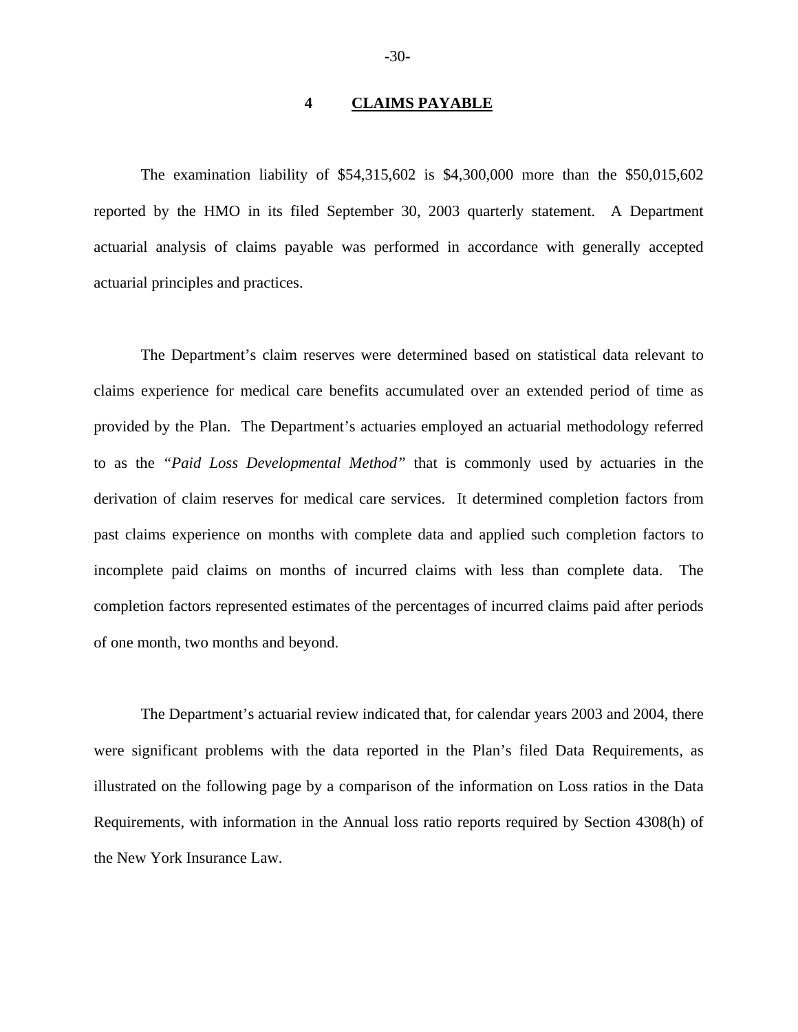#### **4 CLAIMS PAYABLE**

The examination liability of \$54,315,602 is \$4,300,000 more than the \$50,015,602 reported by the HMO in its filed September 30, 2003 quarterly statement. A Department actuarial analysis of claims payable was performed in accordance with generally accepted actuarial principles and practices.

The Department's claim reserves were determined based on statistical data relevant to claims experience for medical care benefits accumulated over an extended period of time as provided by the Plan. The Department's actuaries employed an actuarial methodology referred to as the *"Paid Loss Developmental Method"* that is commonly used by actuaries in the derivation of claim reserves for medical care services. It determined completion factors from past claims experience on months with complete data and applied such completion factors to incomplete paid claims on months of incurred claims with less than complete data. The completion factors represented estimates of the percentages of incurred claims paid after periods of one month, two months and beyond.

The Department's actuarial review indicated that, for calendar years 2003 and 2004, there were significant problems with the data reported in the Plan's filed Data Requirements, as illustrated on the following page by a comparison of the information on Loss ratios in the Data Requirements, with information in the Annual loss ratio reports required by Section 4308(h) of the New York Insurance Law.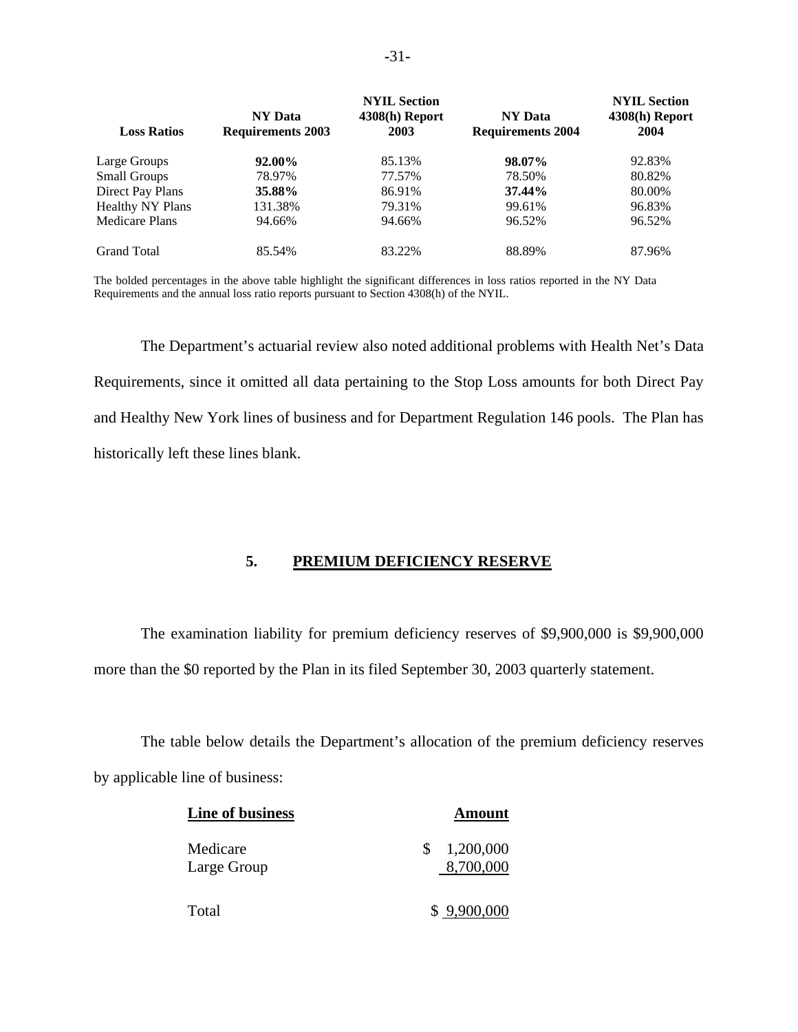|                         |                          | <b>NYIL Section</b> |                          | <b>NYIL Section</b> |
|-------------------------|--------------------------|---------------------|--------------------------|---------------------|
|                         | <b>NY Data</b>           | $4308(h)$ Report    | <b>NY Data</b>           | $4308(h)$ Report    |
| <b>Loss Ratios</b>      | <b>Requirements 2003</b> | 2003                | <b>Requirements 2004</b> | 2004                |
| Large Groups            | 92.00%                   | 85.13%              | 98.07%                   | 92.83%              |
| <b>Small Groups</b>     | 78.97%                   | 77.57%              | 78.50%                   | 80.82%              |
| Direct Pay Plans        | 35.88%                   | 86.91%              | 37.44%                   | 80.00%              |
| <b>Healthy NY Plans</b> | 131.38%                  | 79.31%              | 99.61%                   | 96.83%              |
| <b>Medicare Plans</b>   | 94.66%                   | 94.66%              | 96.52%                   | 96.52%              |
| <b>Grand Total</b>      | 85.54%                   | 83.22%              | 88.89%                   | 87.96%              |

The bolded percentages in the above table highlight the significant differences in loss ratios reported in the NY Data Requirements and the annual loss ratio reports pursuant to Section 4308(h) of the NYIL.

The Department's actuarial review also noted additional problems with Health Net's Data Requirements, since it omitted all data pertaining to the Stop Loss amounts for both Direct Pay and Healthy New York lines of business and for Department Regulation 146 pools. The Plan has historically left these lines blank.

### **5. PREMIUM DEFICIENCY RESERVE**

The examination liability for premium deficiency reserves of \$9,900,000 is \$9,900,000 more than the \$0 reported by the Plan in its filed September 30, 2003 quarterly statement.

The table below details the Department's allocation of the premium deficiency reserves by applicable line of business:

| Line of business        | Amount                      |
|-------------------------|-----------------------------|
| Medicare<br>Large Group | 1,200,000<br>S<br>8,700,000 |
| Total                   | \$9,900,000                 |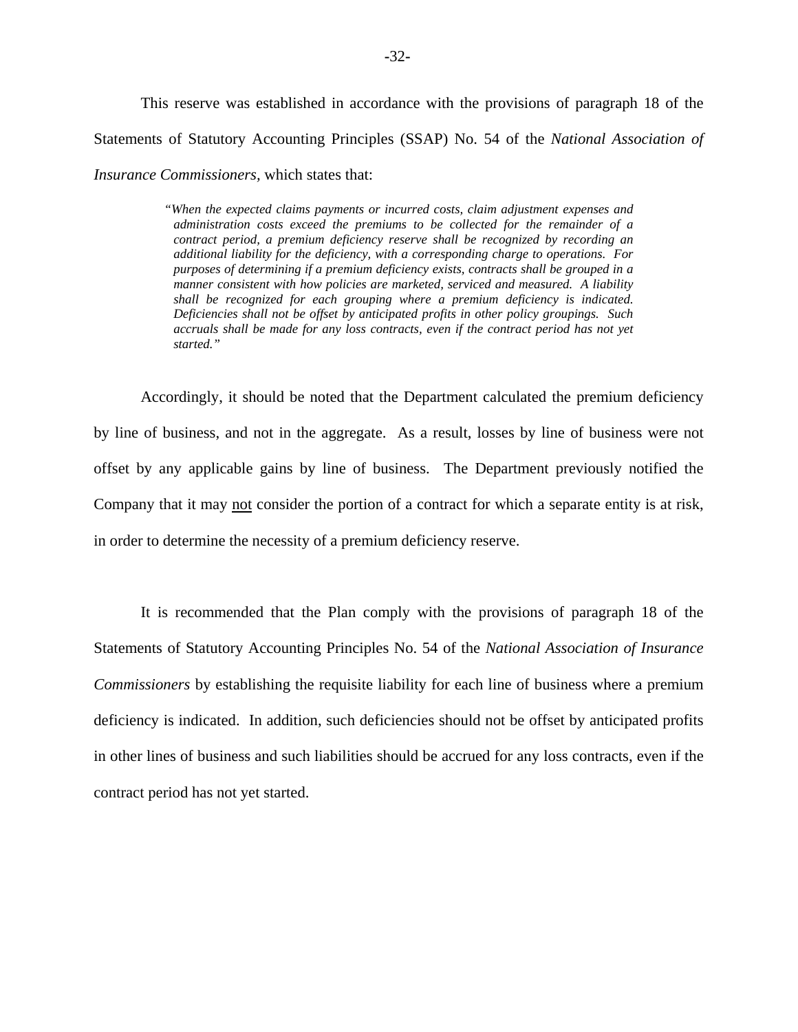This reserve was established in accordance with the provisions of paragraph 18 of the Statements of Statutory Accounting Principles (SSAP) No. 54 of the *National Association of Insurance Commissioners,* which states that:

> *manner consistent with how policies are marketed, serviced and measured. A liability*  shall be recognized for each grouping where a premium deficiency is indicated. *"When the expected claims payments or incurred costs, claim adjustment expenses and administration costs exceed the premiums to be collected for the remainder of a contract period, a premium deficiency reserve shall be recognized by recording an additional liability for the deficiency, with a corresponding charge to operations. For purposes of determining if a premium deficiency exists, contracts shall be grouped in a*  Deficiencies shall not be offset by anticipated profits in other policy groupings. Such *accruals shall be made for any loss contracts, even if the contract period has not yet started."*

Accordingly, it should be noted that the Department calculated the premium deficiency by line of business, and not in the aggregate. As a result, losses by line of business were not offset by any applicable gains by line of business. The Department previously notified the Company that it may not consider the portion of a contract for which a separate entity is at risk, in order to determine the necessity of a premium deficiency reserve.

It is recommended that the Plan comply with the provisions of paragraph 18 of the Statements of Statutory Accounting Principles No. 54 of the *National Association of Insurance Commissioners* by establishing the requisite liability for each line of business where a premium deficiency is indicated. In addition, such deficiencies should not be offset by anticipated profits in other lines of business and such liabilities should be accrued for any loss contracts, even if the contract period has not yet started.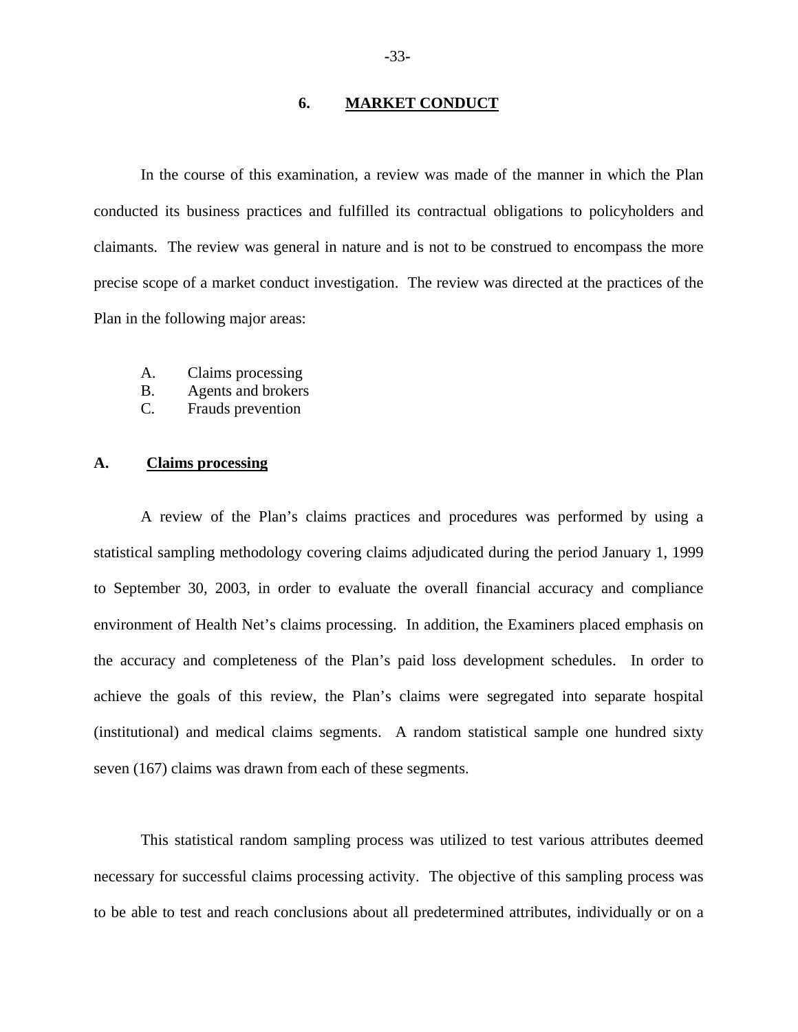#### **6. MARKET CONDUCT**

In the course of this examination, a review was made of the manner in which the Plan conducted its business practices and fulfilled its contractual obligations to policyholders and claimants. The review was general in nature and is not to be construed to encompass the more precise scope of a market conduct investigation. The review was directed at the practices of the Plan in the following major areas:

- A. Claims processing
- B. Agents and brokers
- C. Frauds prevention

#### **A. Claims processing**

A review of the Plan's claims practices and procedures was performed by using a statistical sampling methodology covering claims adjudicated during the period January 1, 1999 to September 30, 2003, in order to evaluate the overall financial accuracy and compliance environment of Health Net's claims processing. In addition, the Examiners placed emphasis on the accuracy and completeness of the Plan's paid loss development schedules. In order to achieve the goals of this review, the Plan's claims were segregated into separate hospital (institutional) and medical claims segments. A random statistical sample one hundred sixty seven (167) claims was drawn from each of these segments.

This statistical random sampling process was utilized to test various attributes deemed necessary for successful claims processing activity. The objective of this sampling process was to be able to test and reach conclusions about all predetermined attributes, individually or on a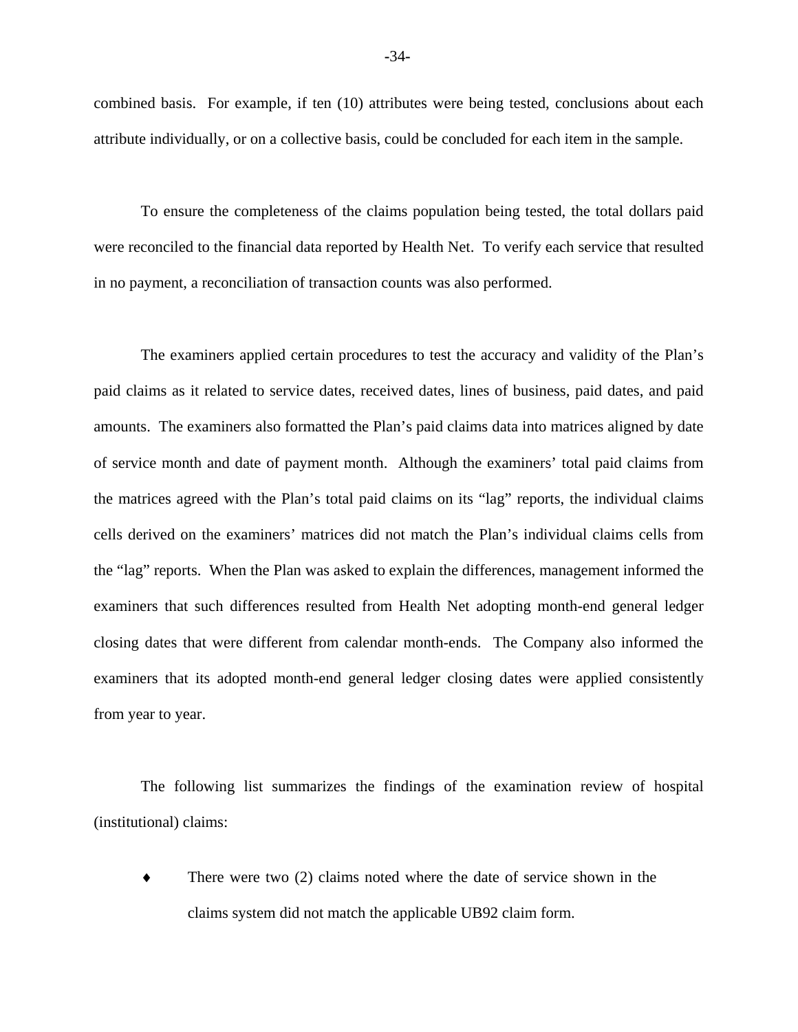combined basis. For example, if ten (10) attributes were being tested, conclusions about each attribute individually, or on a collective basis, could be concluded for each item in the sample.

To ensure the completeness of the claims population being tested, the total dollars paid were reconciled to the financial data reported by Health Net. To verify each service that resulted in no payment, a reconciliation of transaction counts was also performed.

The examiners applied certain procedures to test the accuracy and validity of the Plan's paid claims as it related to service dates, received dates, lines of business, paid dates, and paid amounts. The examiners also formatted the Plan's paid claims data into matrices aligned by date of service month and date of payment month. Although the examiners' total paid claims from the matrices agreed with the Plan's total paid claims on its "lag" reports, the individual claims cells derived on the examiners' matrices did not match the Plan's individual claims cells from the "lag" reports. When the Plan was asked to explain the differences, management informed the examiners that such differences resulted from Health Net adopting month-end general ledger closing dates that were different from calendar month-ends. The Company also informed the examiners that its adopted month-end general ledger closing dates were applied consistently from year to year.

The following list summarizes the findings of the examination review of hospital (institutional) claims:

There were two  $(2)$  claims noted where the date of service shown in the claims system did not match the applicable UB92 claim form.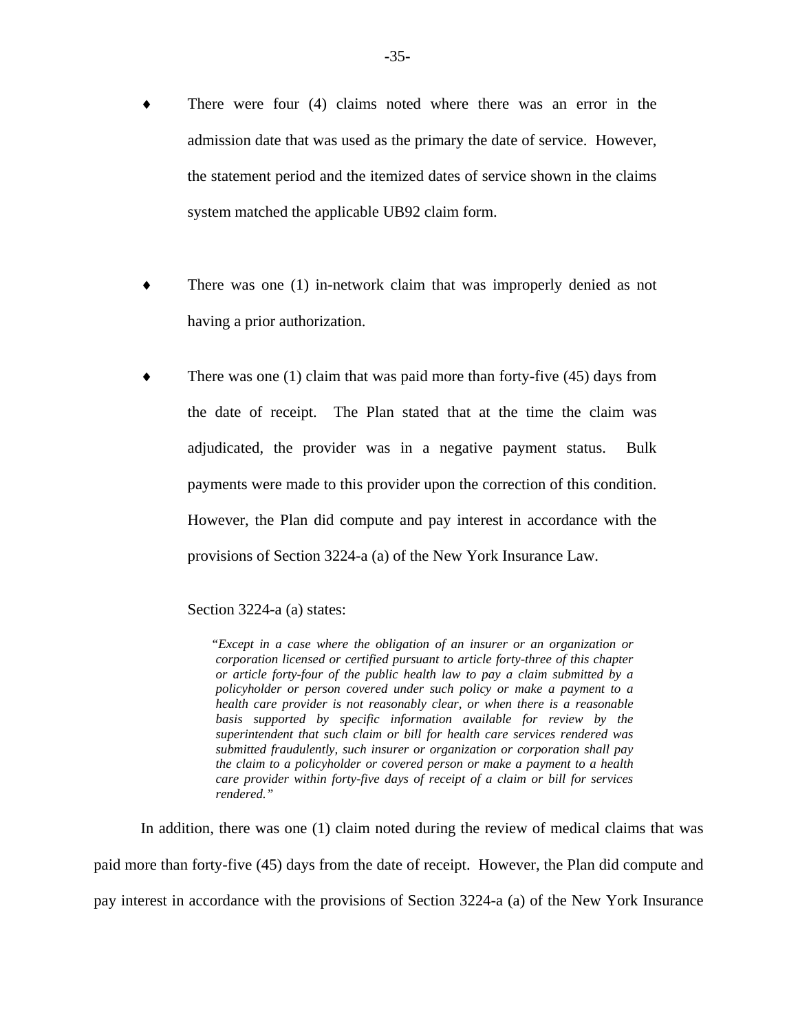- There were four (4) claims noted where there was an error in the admission date that was used as the primary the date of service. However, the statement period and the itemized dates of service shown in the claims system matched the applicable UB92 claim form.
- There was one (1) in-network claim that was improperly denied as not having a prior authorization.
- There was one  $(1)$  claim that was paid more than forty-five  $(45)$  days from the date of receipt. The Plan stated that at the time the claim was adjudicated, the provider was in a negative payment status. Bulk payments were made to this provider upon the correction of this condition. However, the Plan did compute and pay interest in accordance with the provisions of Section 3224-a (a) of the New York Insurance Law.

Section 3224-a (a) states:

*"Except in a case where the obligation of an insurer or an organization or corporation licensed or certified pursuant to article forty-three of this chapter or article forty-four of the public health law to pay a claim submitted by a policyholder or person covered under such policy or make a payment to a health care provider is not reasonably clear, or when there is a reasonable basis supported by specific information available for review by the superintendent that such claim or bill for health care services rendered was submitted fraudulently, such insurer or organization or corporation shall pay the claim to a policyholder or covered person or make a payment to a health care provider within forty-five days of receipt of a claim or bill for services rendered."* 

In addition, there was one (1) claim noted during the review of medical claims that was paid more than forty-five (45) days from the date of receipt. However, the Plan did compute and pay interest in accordance with the provisions of Section 3224-a (a) of the New York Insurance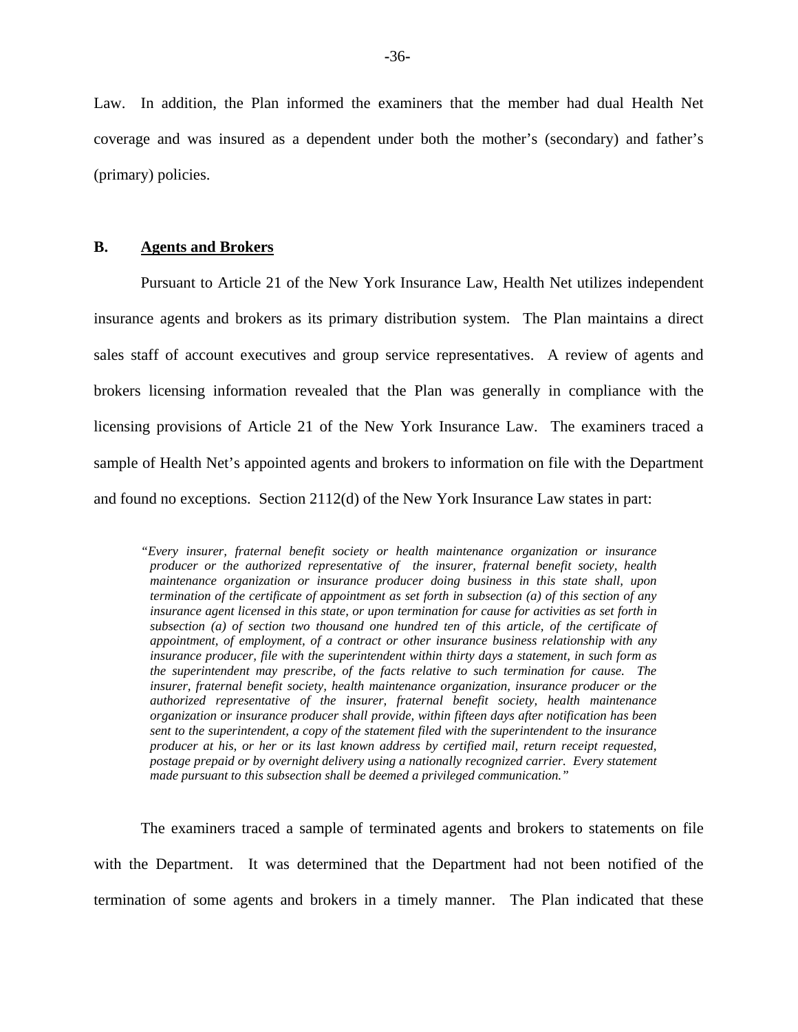Law. In addition, the Plan informed the examiners that the member had dual Health Net coverage and was insured as a dependent under both the mother's (secondary) and father's (primary) policies.

#### **B. Agents and Brokers**

Pursuant to Article 21 of the New York Insurance Law, Health Net utilizes independent insurance agents and brokers as its primary distribution system. The Plan maintains a direct sales staff of account executives and group service representatives. A review of agents and brokers licensing information revealed that the Plan was generally in compliance with the licensing provisions of Article 21 of the New York Insurance Law. The examiners traced a sample of Health Net's appointed agents and brokers to information on file with the Department and found no exceptions. Section 2112(d) of the New York Insurance Law states in part:

 *termination of the certificate of appointment as set forth in subsection (a) of this section of any organization or insurance producer shall provide, within fifteen days after notification has been sent to the superintendent, a copy of the statement filed with the superintendent to the insurance "Every insurer, fraternal benefit society or health maintenance organization or insurance producer or the authorized representative of the insurer, fraternal benefit society, health maintenance organization or insurance producer doing business in this state shall, upon insurance agent licensed in this state, or upon termination for cause for activities as set forth in subsection (a) of section two thousand one hundred ten of this article, of the certificate of appointment, of employment, of a contract or other insurance business relationship with any insurance producer, file with the superintendent within thirty days a statement, in such form as the superintendent may prescribe, of the facts relative to such termination for cause. The insurer, fraternal benefit society, health maintenance organization, insurance producer or the authorized representative of the insurer, fraternal benefit society, health maintenance producer at his, or her or its last known address by certified mail, return receipt requested, postage prepaid or by overnight delivery using a nationally recognized carrier. Every statement made pursuant to this subsection shall be deemed a privileged communication."* 

The examiners traced a sample of terminated agents and brokers to statements on file with the Department. It was determined that the Department had not been notified of the termination of some agents and brokers in a timely manner. The Plan indicated that these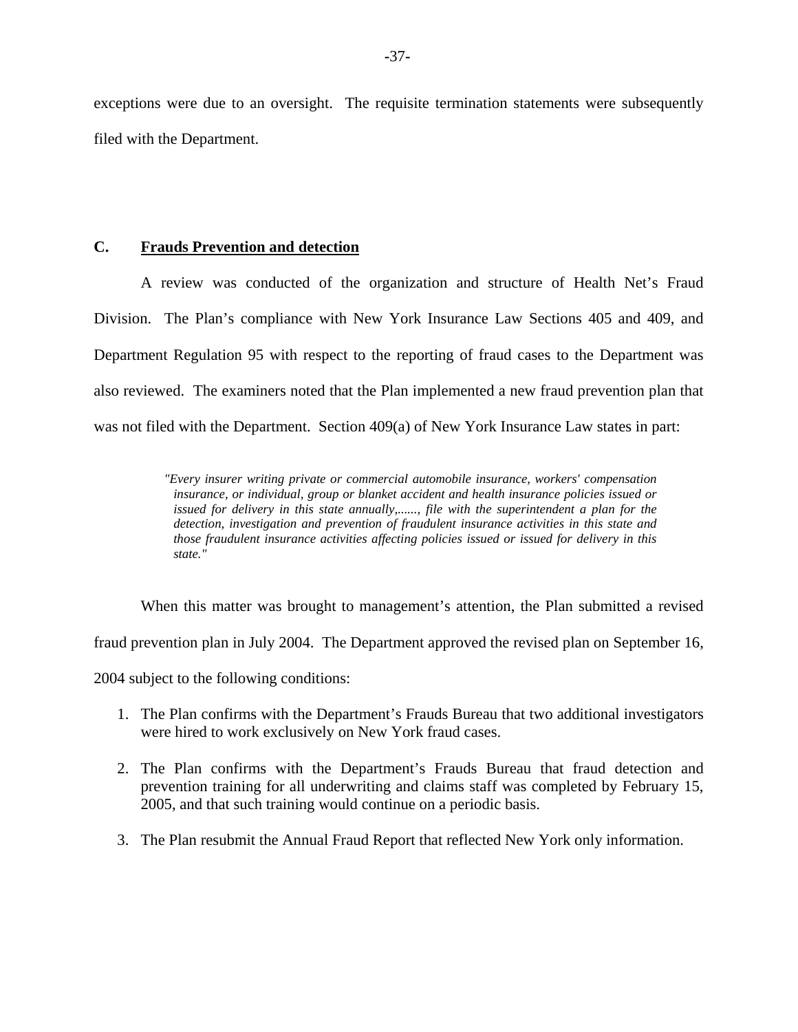exceptions were due to an oversight. The requisite termination statements were subsequently filed with the Department.

### **C. Frauds Prevention and detection**

A review was conducted of the organization and structure of Health Net's Fraud Division. The Plan's compliance with New York Insurance Law Sections 405 and 409, and Department Regulation 95 with respect to the reporting of fraud cases to the Department was also reviewed. The examiners noted that the Plan implemented a new fraud prevention plan that was not filed with the Department. Section 409(a) of New York Insurance Law states in part:

> *detection, investigation and prevention of fraudulent insurance activities in this state and "Every insurer writing private or commercial automobile insurance, workers' compensation insurance, or individual, group or blanket accident and health insurance policies issued or issued for delivery in this state annually,......, file with the superintendent a plan for the those fraudulent insurance activities affecting policies issued or issued for delivery in this state."*

When this matter was brought to management's attention, the Plan submitted a revised fraud prevention plan in July 2004. The Department approved the revised plan on September 16, 2004 subject to the following conditions:

- 1. The Plan confirms with the Department's Frauds Bureau that two additional investigators were hired to work exclusively on New York fraud cases.
- 2. The Plan confirms with the Department's Frauds Bureau that fraud detection and prevention training for all underwriting and claims staff was completed by February 15, 2005, and that such training would continue on a periodic basis.
- 3. The Plan resubmit the Annual Fraud Report that reflected New York only information.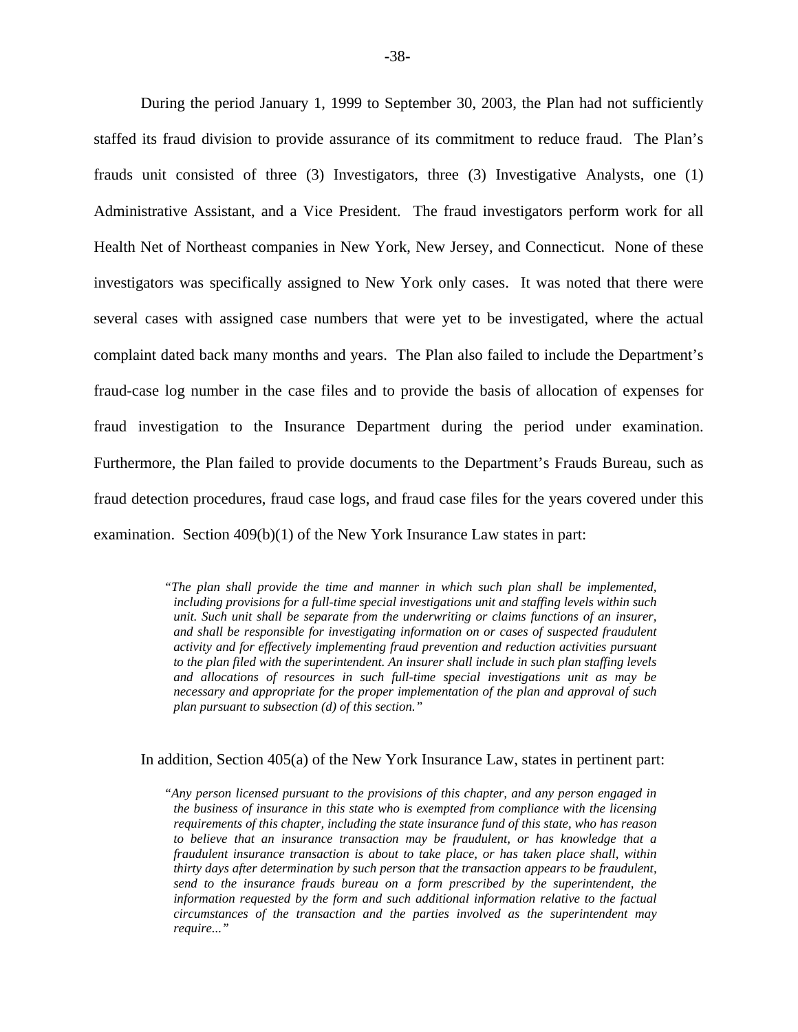During the period January 1, 1999 to September 30, 2003, the Plan had not sufficiently staffed its fraud division to provide assurance of its commitment to reduce fraud. The Plan's frauds unit consisted of three (3) Investigators, three (3) Investigative Analysts, one (1) Administrative Assistant, and a Vice President. The fraud investigators perform work for all Health Net of Northeast companies in New York, New Jersey, and Connecticut. None of these investigators was specifically assigned to New York only cases. It was noted that there were several cases with assigned case numbers that were yet to be investigated, where the actual complaint dated back many months and years. The Plan also failed to include the Department's fraud-case log number in the case files and to provide the basis of allocation of expenses for fraud investigation to the Insurance Department during the period under examination. Furthermore, the Plan failed to provide documents to the Department's Frauds Bureau, such as fraud detection procedures, fraud case logs, and fraud case files for the years covered under this examination. Section 409(b)(1) of the New York Insurance Law states in part:

> *to the plan filed with the superintendent. An insurer shall include in such plan staffing levels and allocations of resources in such full-time special investigations unit as may be "The plan shall provide the time and manner in which such plan shall be implemented, including provisions for a full-time special investigations unit and staffing levels within such unit. Such unit shall be separate from the underwriting or claims functions of an insurer, and shall be responsible for investigating information on or cases of suspected fraudulent activity and for effectively implementing fraud prevention and reduction activities pursuant necessary and appropriate for the proper implementation of the plan and approval of such plan pursuant to subsection (d) of this section."*

In addition, Section 405(a) of the New York Insurance Law, states in pertinent part:

*"Any person licensed pursuant to the provisions of this chapter, and any person engaged in the business of insurance in this state who is exempted from compliance with the licensing requirements of this chapter, including the state insurance fund of this state, who has reason to believe that an insurance transaction may be fraudulent, or has knowledge that a fraudulent insurance transaction is about to take place, or has taken place shall, within thirty days after determination by such person that the transaction appears to be fraudulent, send to the insurance frauds bureau on a form prescribed by the superintendent, the information requested by the form and such additional information relative to the factual circumstances of the transaction and the parties involved as the superintendent may require..."*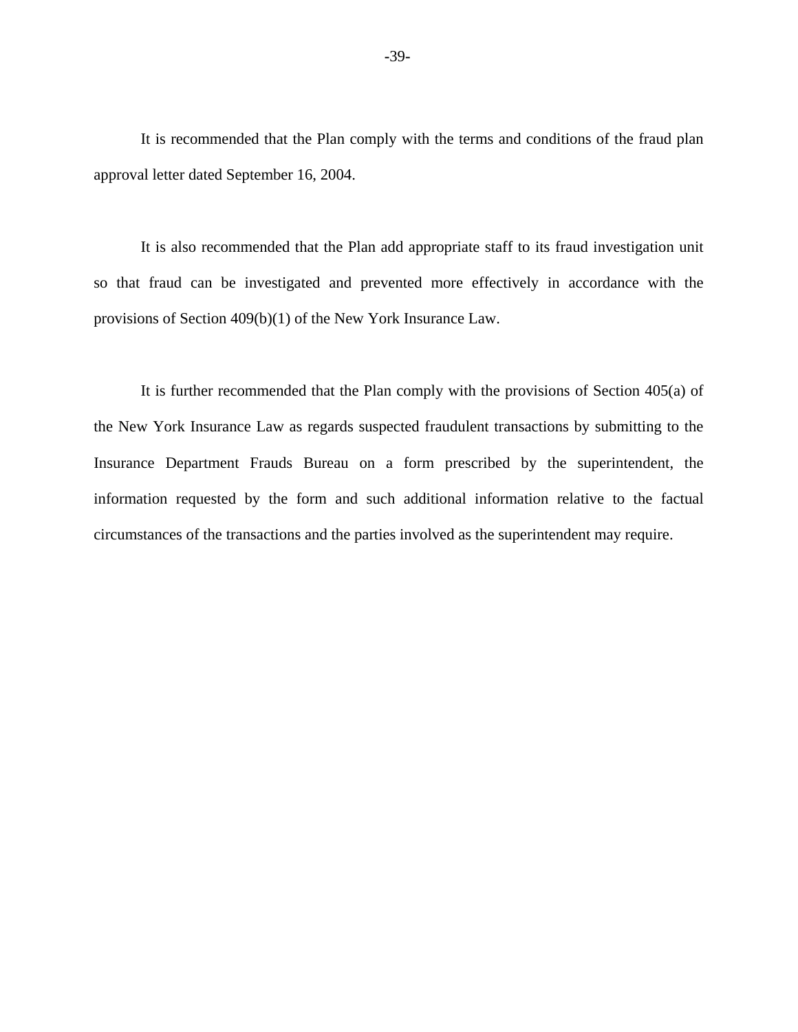It is recommended that the Plan comply with the terms and conditions of the fraud plan approval letter dated September 16, 2004.

It is also recommended that the Plan add appropriate staff to its fraud investigation unit so that fraud can be investigated and prevented more effectively in accordance with the provisions of Section 409(b)(1) of the New York Insurance Law.

It is further recommended that the Plan comply with the provisions of Section 405(a) of the New York Insurance Law as regards suspected fraudulent transactions by submitting to the Insurance Department Frauds Bureau on a form prescribed by the superintendent, the information requested by the form and such additional information relative to the factual circumstances of the transactions and the parties involved as the superintendent may require.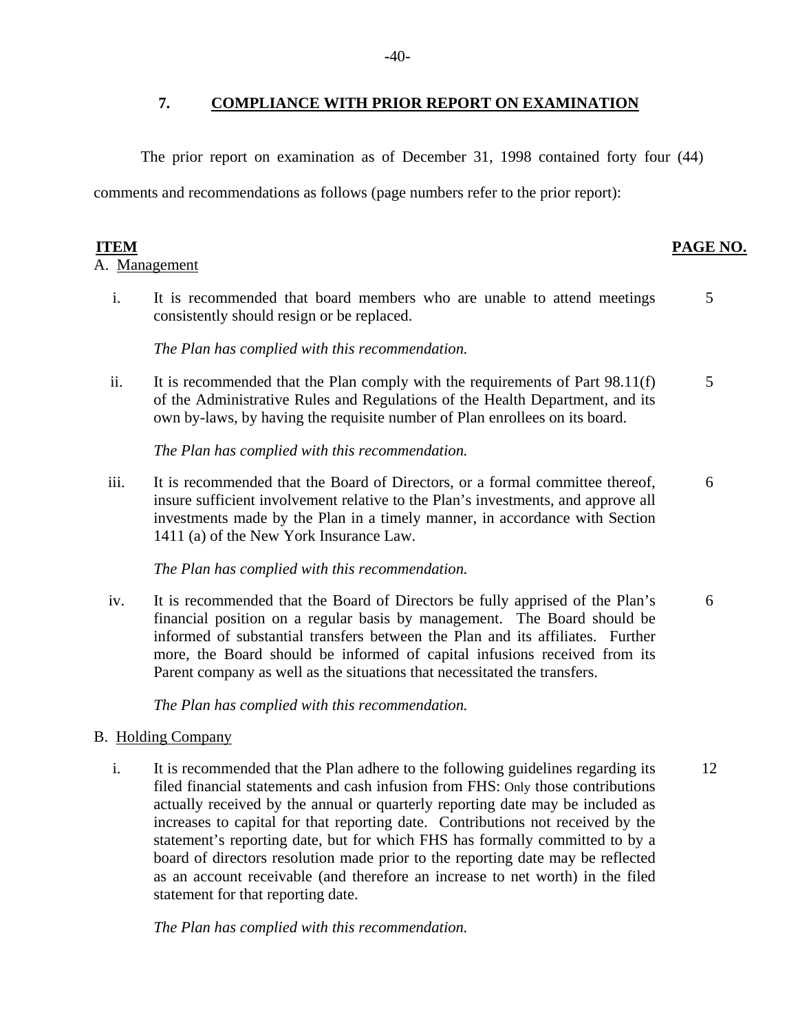#### **7. COMPLIANCE WITH PRIOR REPORT ON EXAMINATION**

The prior report on examination as of December 31, 1998 contained forty four (44)

comments and recommendations as follows (page numbers refer to the prior report):

A. Management

i. It is recommended that board members who are unable to attend meetings consistently should resign or be replaced. 5

#### *The Plan has complied with this recommendation.*

ii. It is recommended that the Plan comply with the requirements of Part 98.11(f) of the Administrative Rules and Regulations of the Health Department, and its own by-laws, by having the requisite number of Plan enrollees on its board. 5

*The Plan has complied with this recommendation.* 

iii. It is recommended that the Board of Directors, or a formal committee thereof, insure sufficient involvement relative to the Plan's investments, and approve all investments made by the Plan in a timely manner, in accordance with Section 1411 (a) of the New York Insurance Law. 6

*The Plan has complied with this recommendation.* 

iv. It is recommended that the Board of Directors be fully apprised of the Plan's financial position on a regular basis by management. The Board should be informed of substantial transfers between the Plan and its affiliates. Further more, the Board should be informed of capital infusions received from its Parent company as well as the situations that necessitated the transfers. 6

*The Plan has complied with this recommendation.* 

#### **B.** Holding Company

i. It is recommended that the Plan adhere to the following guidelines regarding its filed financial statements and cash infusion from FHS: Only those contributions actually received by the annual or quarterly reporting date may be included as increases to capital for that reporting date. Contributions not received by the statement's reporting date, but for which FHS has formally committed to by a board of directors resolution made prior to the reporting date may be reflected as an account receivable (and therefore an increase to net worth) in the filed statement for that reporting date. 12

*The Plan has complied with this recommendation.* 

#### **ITEM PAGE NO.**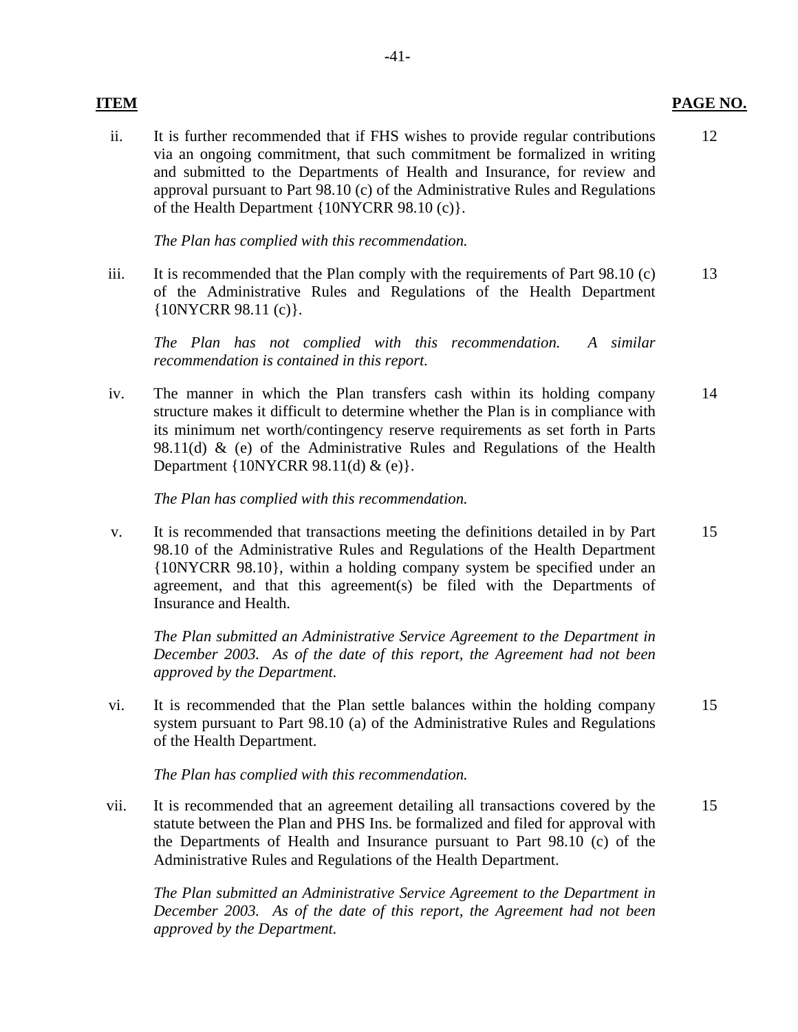ii. It is further recommended that if FHS wishes to provide regular contributions via an ongoing commitment, that such commitment be formalized in writing and submitted to the Departments of Health and Insurance, for review and approval pursuant to Part 98.10 (c) of the Administrative Rules and Regulations of the Health Department {10NYCRR 98.10 (c)}. 12

*The Plan has complied with this recommendation.* 

iii. It is recommended that the Plan comply with the requirements of Part  $98.10$  (c) of the Administrative Rules and Regulations of the Health Department {10NYCRR 98.11 (c)}. 13

*The Plan has not complied with this recommendation. A similar recommendation is contained in this report.* 

iv. The manner in which the Plan transfers cash within its holding company structure makes it difficult to determine whether the Plan is in compliance with its minimum net worth/contingency reserve requirements as set forth in Parts 98.11(d)  $\&$  (e) of the Administrative Rules and Regulations of the Health Department {10NYCRR 98.11(d) & (e)}. 14

*The Plan has complied with this recommendation.* 

v. It is recommended that transactions meeting the definitions detailed in by Part 98.10 of the Administrative Rules and Regulations of the Health Department {10NYCRR 98.10}, within a holding company system be specified under an agreement, and that this agreement(s) be filed with the Departments of Insurance and Health. 15

*The Plan submitted an Administrative Service Agreement to the Department in December 2003. As of the date of this report, the Agreement had not been approved by the Department.* 

vi. It is recommended that the Plan settle balances within the holding company system pursuant to Part 98.10 (a) of the Administrative Rules and Regulations of the Health Department. 15

*The Plan has complied with this recommendation.* 

vii. It is recommended that an agreement detailing all transactions covered by the statute between the Plan and PHS Ins. be formalized and filed for approval with the Departments of Health and Insurance pursuant to Part 98.10 (c) of the Administrative Rules and Regulations of the Health Department. 15

*The Plan submitted an Administrative Service Agreement to the Department in December 2003. As of the date of this report, the Agreement had not been approved by the Department.* 

#### **ITEM PAGE NO.**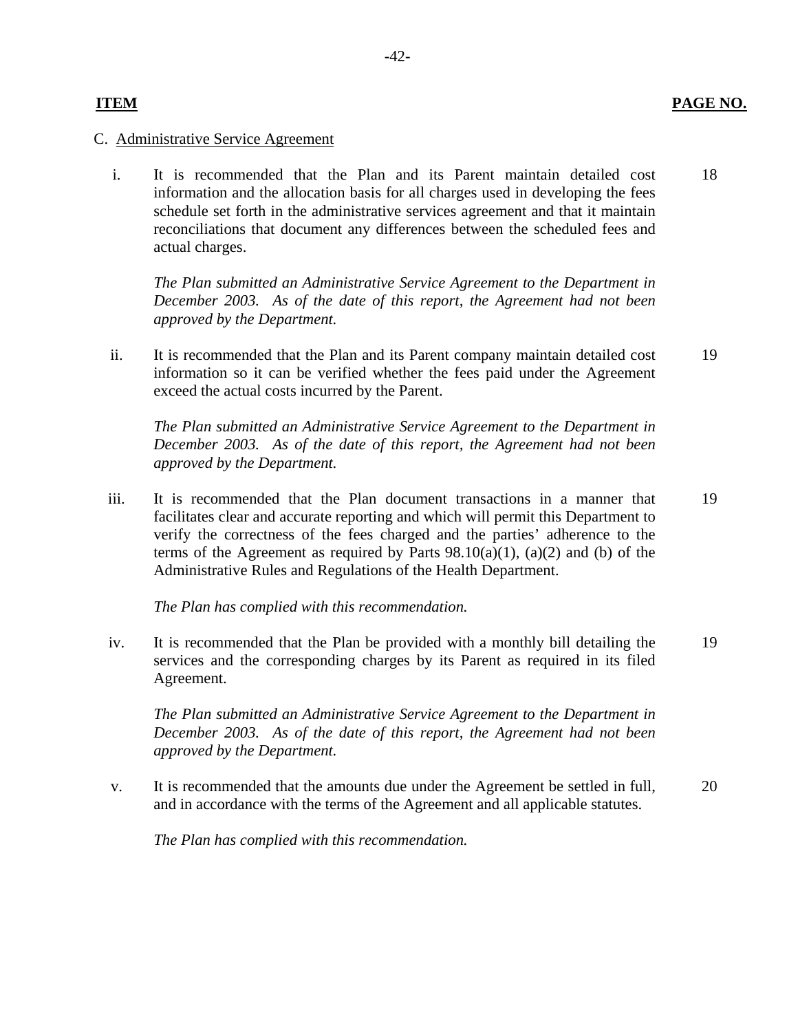#### **ITEM**

#### C. Administrative Service Agreement

i. It is recommended that the Plan and its Parent maintain detailed cost information and the allocation basis for all charges used in developing the fees schedule set forth in the administrative services agreement and that it maintain reconciliations that document any differences between the scheduled fees and actual charges. 18

*The Plan submitted an Administrative Service Agreement to the Department in December 2003. As of the date of this report, the Agreement had not been approved by the Department.* 

ii. It is recommended that the Plan and its Parent company maintain detailed cost information so it can be verified whether the fees paid under the Agreement exceed the actual costs incurred by the Parent. 19

*The Plan submitted an Administrative Service Agreement to the Department in December 2003. As of the date of this report, the Agreement had not been approved by the Department.* 

iii. It is recommended that the Plan document transactions in a manner that facilitates clear and accurate reporting and which will permit this Department to verify the correctness of the fees charged and the parties' adherence to the terms of the Agreement as required by Parts  $98.10(a)(1)$ ,  $(a)(2)$  and (b) of the Administrative Rules and Regulations of the Health Department. 19

*The Plan has complied with this recommendation.* 

iv. It is recommended that the Plan be provided with a monthly bill detailing the services and the corresponding charges by its Parent as required in its filed Agreement. 19

*The Plan submitted an Administrative Service Agreement to the Department in December 2003. As of the date of this report, the Agreement had not been approved by the Department.* 

v. It is recommended that the amounts due under the Agreement be settled in full, and in accordance with the terms of the Agreement and all applicable statutes. 20

*The Plan has complied with this recommendation.*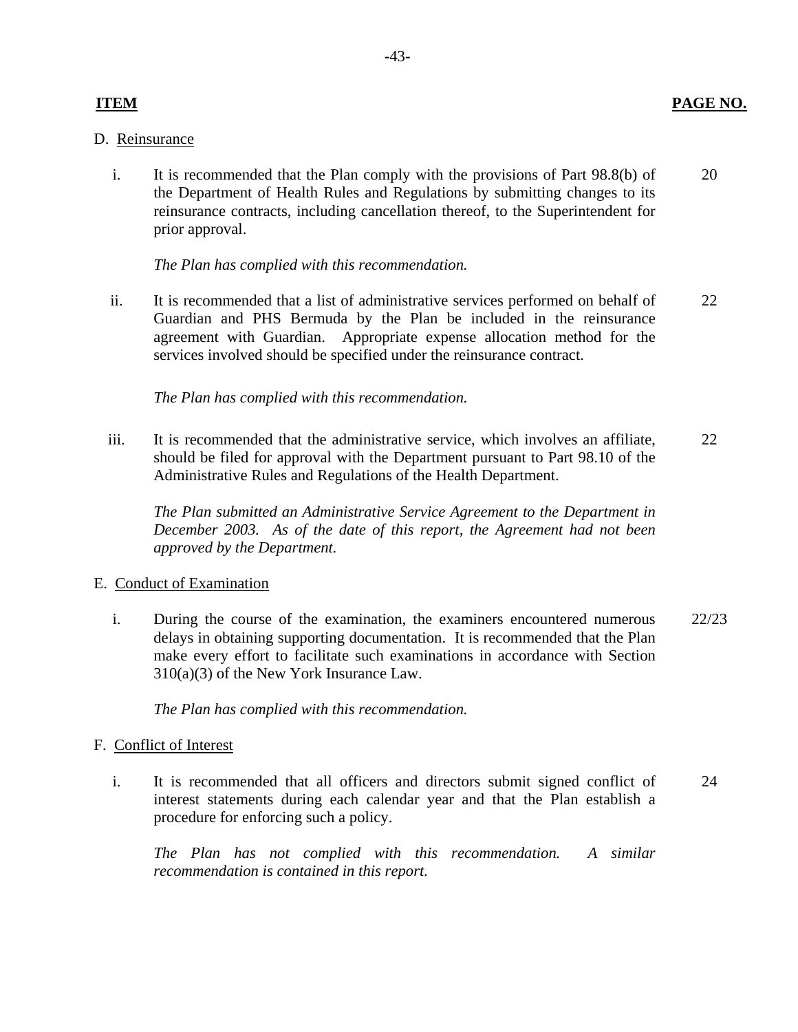#### D. Reinsurance

i. It is recommended that the Plan comply with the provisions of Part 98.8(b) of the Department of Health Rules and Regulations by submitting changes to its reinsurance contracts, including cancellation thereof, to the Superintendent for prior approval. 20

*The Plan has complied with this recommendation.* 

ii. It is recommended that a list of administrative services performed on behalf of Guardian and PHS Bermuda by the Plan be included in the reinsurance agreement with Guardian. Appropriate expense allocation method for the services involved should be specified under the reinsurance contract. 22

*The Plan has complied with this recommendation.* 

iii. It is recommended that the administrative service, which involves an affiliate, should be filed for approval with the Department pursuant to Part 98.10 of the Administrative Rules and Regulations of the Health Department. 22

*The Plan submitted an Administrative Service Agreement to the Department in December 2003. As of the date of this report, the Agreement had not been approved by the Department.* 

#### E. Conduct of Examination

i. During the course of the examination, the examiners encountered numerous delays in obtaining supporting documentation. It is recommended that the Plan make every effort to facilitate such examinations in accordance with Section 310(a)(3) of the New York Insurance Law. 22/23

*The Plan has complied with this recommendation.* 

# F. Conflict of Interest

i. It is recommended that all officers and directors submit signed conflict of interest statements during each calendar year and that the Plan establish a procedure for enforcing such a policy. 24

*The Plan has not complied with this recommendation. A similar recommendation is contained in this report.*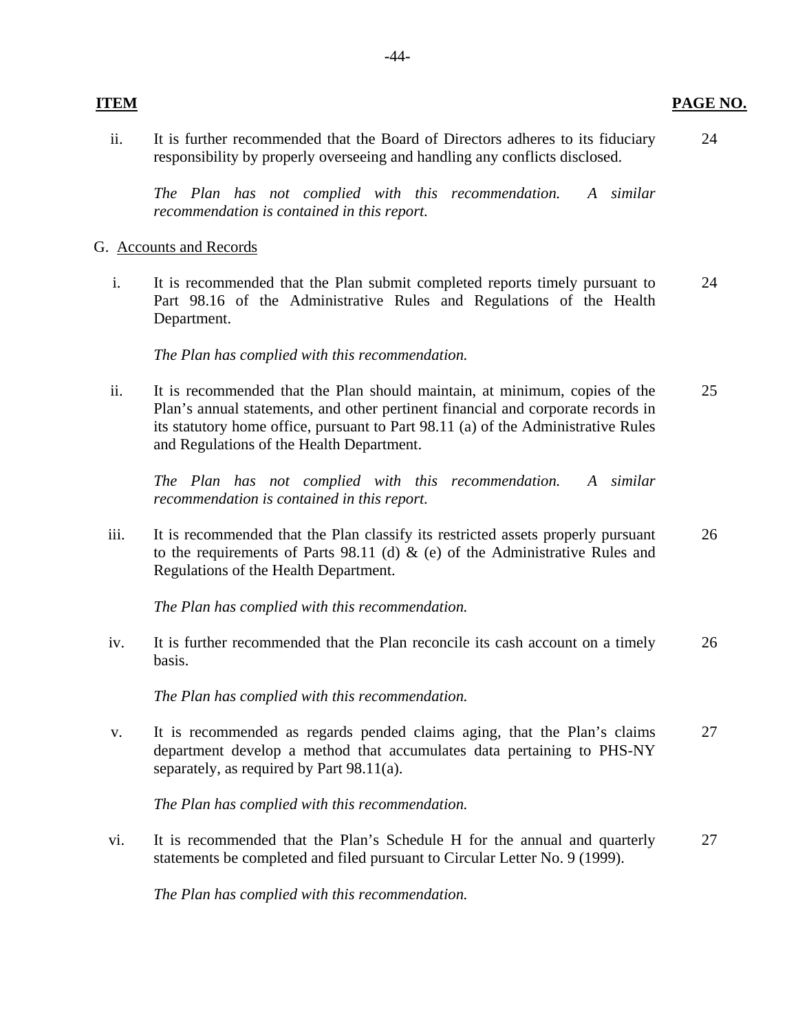ii. It is further recommended that the Board of Directors adheres to its fiduciary responsibility by properly overseeing and handling any conflicts disclosed. 24

*The Plan has not complied with this recommendation. A similar recommendation is contained in this report.* 

#### G. Accounts and Records

i. It is recommended that the Plan submit completed reports timely pursuant to Part 98.16 of the Administrative Rules and Regulations of the Health Department. 24

*The Plan has complied with this recommendation.* 

ii. It is recommended that the Plan should maintain, at minimum, copies of the Plan's annual statements, and other pertinent financial and corporate records in its statutory home office, pursuant to Part 98.11 (a) of the Administrative Rules and Regulations of the Health Department. 25

*The Plan has not complied with this recommendation. A similar recommendation is contained in this report.* 

iii. It is recommended that the Plan classify its restricted assets properly pursuant to the requirements of Parts 98.11 (d)  $\&$  (e) of the Administrative Rules and Regulations of the Health Department. 26

*The Plan has complied with this recommendation.* 

iv. It is further recommended that the Plan reconcile its cash account on a timely basis. 26

*The Plan has complied with this recommendation.* 

v. It is recommended as regards pended claims aging, that the Plan's claims department develop a method that accumulates data pertaining to PHS-NY separately, as required by Part 98.11(a). 27

*The Plan has complied with this recommendation.* 

vi. It is recommended that the Plan's Schedule H for the annual and quarterly statements be completed and filed pursuant to Circular Letter No. 9 (1999). 27

*The Plan has complied with this recommendation.*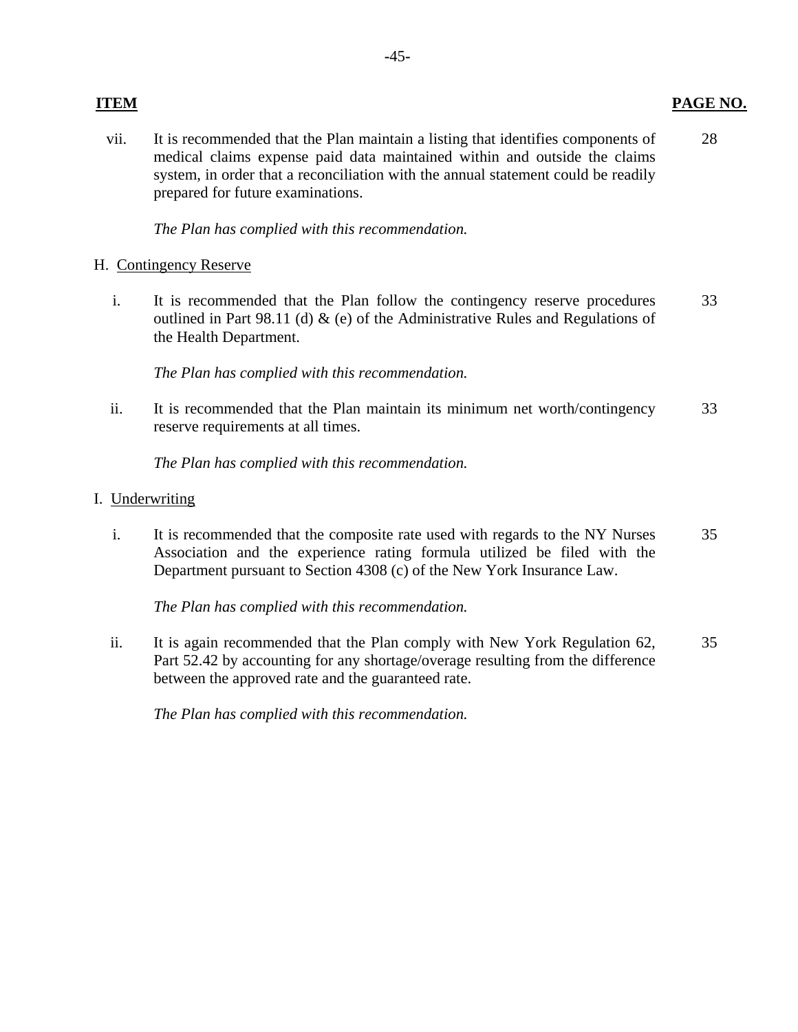vii. It is recommended that the Plan maintain a listing that identifies components of 28 medical claims expense paid data maintained within and outside the claims system, in order that a reconciliation with the annual statement could be readily prepared for future examinations.

*The Plan has complied with this recommendation.* 

### H. Contingency Reserve

i. It is recommended that the Plan follow the contingency reserve procedures 33 outlined in Part 98.11 (d) & (e) of the Administrative Rules and Regulations of the Health Department.

*The Plan has complied with this recommendation.* 

ii. It is recommended that the Plan maintain its minimum net worth/contingency 33 reserve requirements at all times.

*The Plan has complied with this recommendation.* 

### I. Underwriting

i. It is recommended that the composite rate used with regards to the NY Nurses 35 Association and the experience rating formula utilized be filed with the Department pursuant to Section 4308 (c) of the New York Insurance Law.

*The Plan has complied with this recommendation.* 

ii. It is again recommended that the Plan comply with New York Regulation 62, 35 Part 52.42 by accounting for any shortage/overage resulting from the difference between the approved rate and the guaranteed rate.

*The Plan has complied with this recommendation.* 

#### **ITEM PAGE NO.**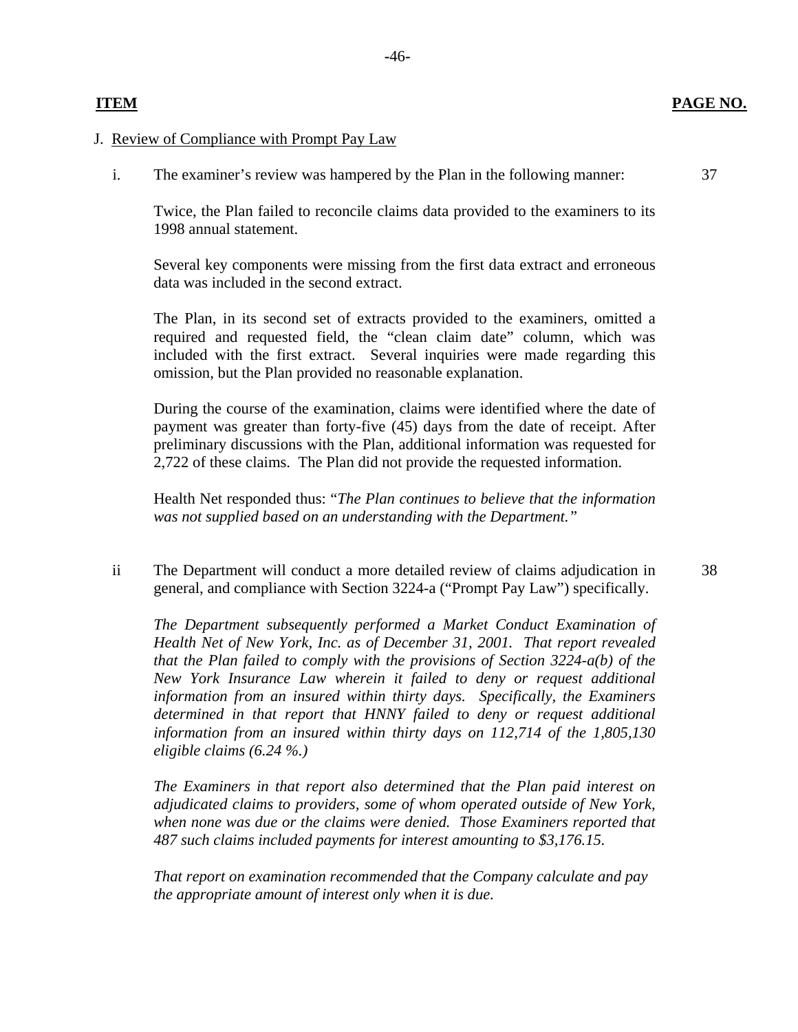### **ITEM PAGE NO.**

J. Review of Compliance with Prompt Pay Law

i. The examiner's review was hampered by the Plan in the following manner: 37

Twice, the Plan failed to reconcile claims data provided to the examiners to its 1998 annual statement.

Several key components were missing from the first data extract and erroneous data was included in the second extract.

The Plan, in its second set of extracts provided to the examiners, omitted a required and requested field, the "clean claim date" column, which was included with the first extract. Several inquiries were made regarding this omission, but the Plan provided no reasonable explanation.

During the course of the examination, claims were identified where the date of payment was greater than forty-five (45) days from the date of receipt. After preliminary discussions with the Plan, additional information was requested for 2,722 of these claims. The Plan did not provide the requested information.

Health Net responded thus: "*The Plan continues to believe that the information was not supplied based on an understanding with the Department."* 

ii The Department will conduct a more detailed review of claims adjudication in 38 general, and compliance with Section 3224-a ("Prompt Pay Law") specifically.

*The Department subsequently performed a Market Conduct Examination of Health Net of New York, Inc. as of December 31, 2001. That report revealed that the Plan failed to comply with the provisions of Section 3224-a(b) of the New York Insurance Law wherein it failed to deny or request additional information from an insured within thirty days. Specifically, the Examiners determined in that report that HNNY failed to deny or request additional information from an insured within thirty days on 112,714 of the 1,805,130 eligible claims (6.24 %.)* 

*The Examiners in that report also determined that the Plan paid interest on adjudicated claims to providers, some of whom operated outside of New York, when none was due or the claims were denied. Those Examiners reported that 487 such claims included payments for interest amounting to \$3,176.15.* 

*That report on examination recommended that the Company calculate and pay the appropriate amount of interest only when it is due.*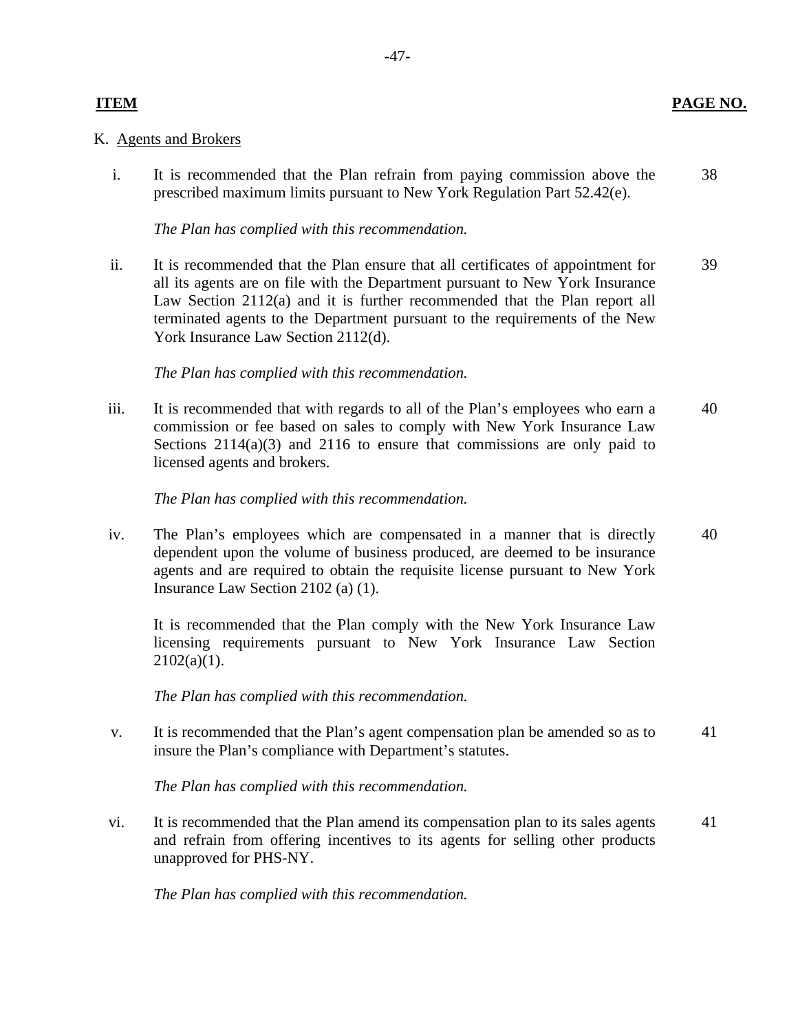#### **ITEM**

#### K. Agents and Brokers

i. It is recommended that the Plan refrain from paying commission above the prescribed maximum limits pursuant to New York Regulation Part 52.42(e). 38

#### *The Plan has complied with this recommendation.*

ii. It is recommended that the Plan ensure that all certificates of appointment for all its agents are on file with the Department pursuant to New York Insurance Law Section 2112(a) and it is further recommended that the Plan report all terminated agents to the Department pursuant to the requirements of the New York Insurance Law Section 2112(d). 39

#### *The Plan has complied with this recommendation.*

iii. It is recommended that with regards to all of the Plan's employees who earn a commission or fee based on sales to comply with New York Insurance Law Sections  $2114(a)(3)$  and  $2116$  to ensure that commissions are only paid to licensed agents and brokers. 40

#### *The Plan has complied with this recommendation.*

iv. The Plan's employees which are compensated in a manner that is directly dependent upon the volume of business produced, are deemed to be insurance agents and are required to obtain the requisite license pursuant to New York Insurance Law Section 2102 (a) (1). 40

It is recommended that the Plan comply with the New York Insurance Law licensing requirements pursuant to New York Insurance Law Section  $2102(a)(1)$ .

*The Plan has complied with this recommendation.* 

v. It is recommended that the Plan's agent compensation plan be amended so as to insure the Plan's compliance with Department's statutes. 41

*The Plan has complied with this recommendation.* 

vi. It is recommended that the Plan amend its compensation plan to its sales agents and refrain from offering incentives to its agents for selling other products unapproved for PHS-NY. 41

*The Plan has complied with this recommendation.*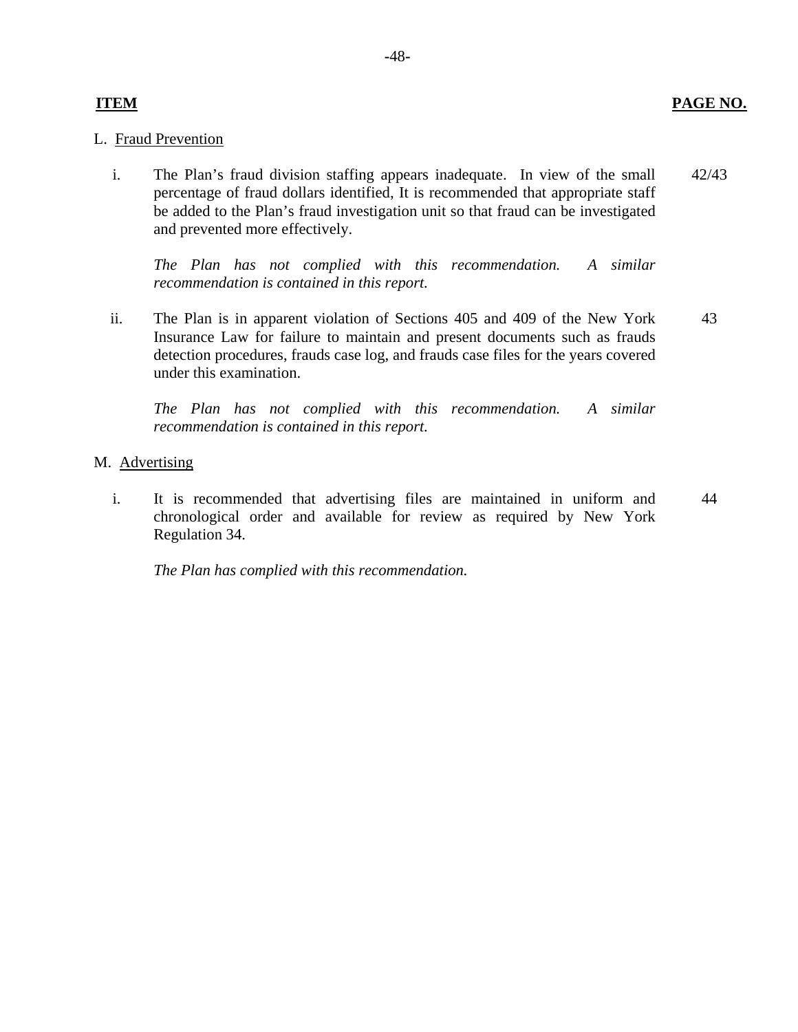### L. Fraud Prevention

i. The Plan's fraud division staffing appears inadequate. In view of the small percentage of fraud dollars identified, It is recommended that appropriate staff be added to the Plan's fraud investigation unit so that fraud can be investigated and prevented more effectively. 42/43

*The Plan has not complied with this recommendation. A similar recommendation is contained in this report.* 

ii. The Plan is in apparent violation of Sections 405 and 409 of the New York Insurance Law for failure to maintain and present documents such as frauds detection procedures, frauds case log, and frauds case files for the years covered under this examination. 43

*The Plan has not complied with this recommendation. A similar recommendation is contained in this report.* 

- M. Advertising
	- i. It is recommended that advertising files are maintained in uniform and chronological order and available for review as required by New York Regulation 34. 44

*The Plan has complied with this recommendation.*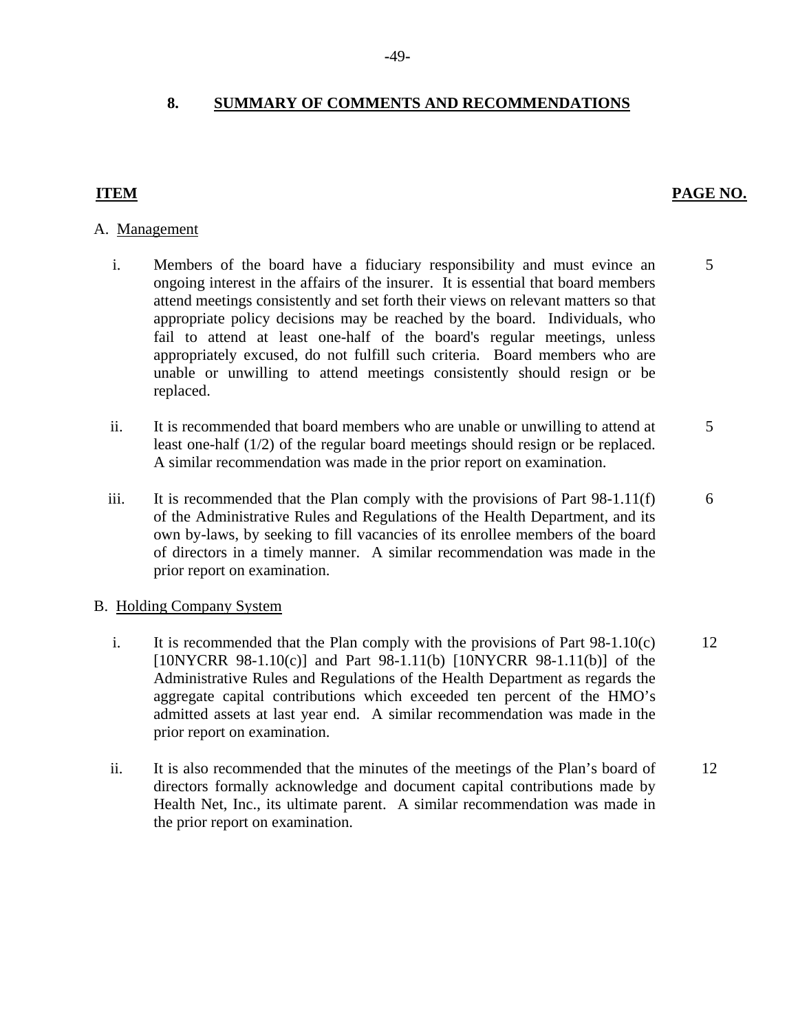#### **8. SUMMARY OF COMMENTS AND RECOMMENDATIONS**

# **ITEM PAGE NO.**

#### A. Management

- i. Members of the board have a fiduciary responsibility and must evince an 5 ongoing interest in the affairs of the insurer. It is essential that board members attend meetings consistently and set forth their views on relevant matters so that appropriate policy decisions may be reached by the board. Individuals, who fail to attend at least one-half of the board's regular meetings, unless appropriately excused, do not fulfill such criteria. Board members who are unable or unwilling to attend meetings consistently should resign or be replaced.
- ii. It is recommended that board members who are unable or unwilling to attend at 5 least one-half (1/2) of the regular board meetings should resign or be replaced. A similar recommendation was made in the prior report on examination.
- iii. It is recommended that the Plan comply with the provisions of Part  $98-1.11(f)$  6 of the Administrative Rules and Regulations of the Health Department, and its own by-laws, by seeking to fill vacancies of its enrollee members of the board of directors in a timely manner. A similar recommendation was made in the prior report on examination.

#### **B.** Holding Company System

- i. It is recommended that the Plan comply with the provisions of Part  $98-1.10(c)$  12  $[10NYCRR 98-1.10(c)]$  and Part 98-1.11(b)  $[10NYCRR 98-1.11(b)]$  of the Administrative Rules and Regulations of the Health Department as regards the aggregate capital contributions which exceeded ten percent of the HMO's admitted assets at last year end. A similar recommendation was made in the prior report on examination.
- ii. It is also recommended that the minutes of the meetings of the Plan's board of 12 directors formally acknowledge and document capital contributions made by Health Net, Inc., its ultimate parent. A similar recommendation was made in the prior report on examination.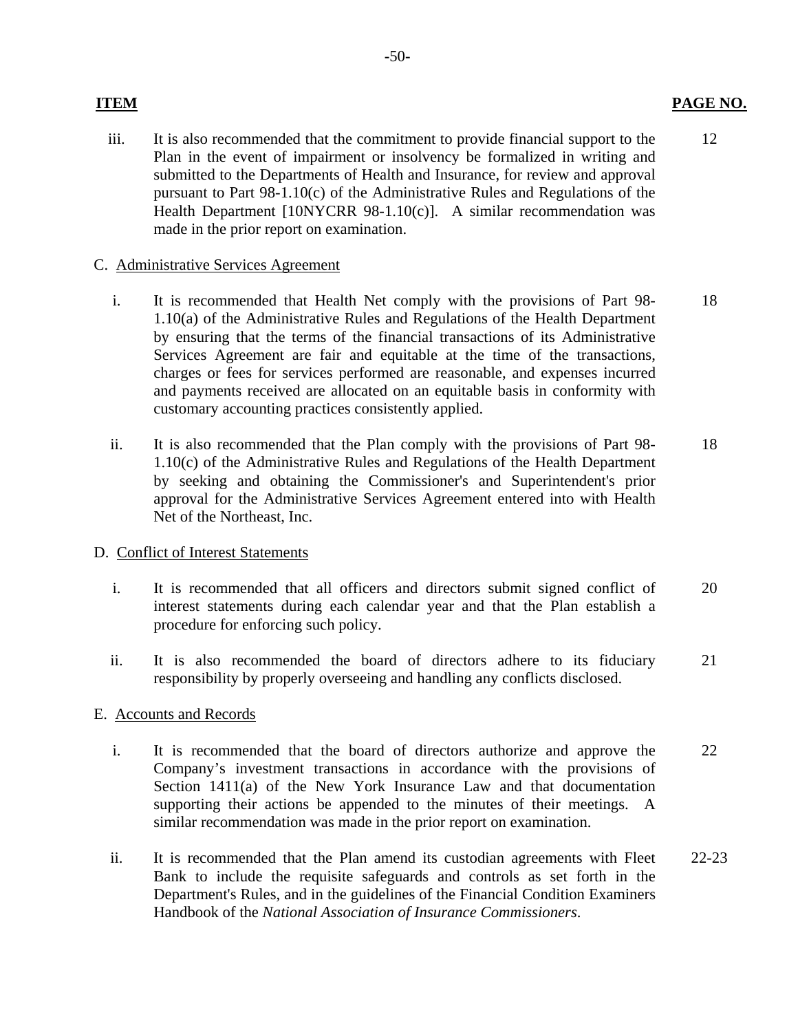#### **ITEM**

iii. It is also recommended that the commitment to provide financial support to the Plan in the event of impairment or insolvency be formalized in writing and submitted to the Departments of Health and Insurance, for review and approval pursuant to Part 98-1.10(c) of the Administrative Rules and Regulations of the Health Department [10NYCRR 98-1.10(c)]. A similar recommendation was made in the prior report on examination. 12

#### C. Administrative Services Agreement

- i. It is recommended that Health Net comply with the provisions of Part 98-1.10(a) of the Administrative Rules and Regulations of the Health Department by ensuring that the terms of the financial transactions of its Administrative Services Agreement are fair and equitable at the time of the transactions, charges or fees for services performed are reasonable, and expenses incurred and payments received are allocated on an equitable basis in conformity with customary accounting practices consistently applied. 18
- ii. It is also recommended that the Plan comply with the provisions of Part 98- 1.10(c) of the Administrative Rules and Regulations of the Health Department by seeking and obtaining the Commissioner's and Superintendent's prior approval for the Administrative Services Agreement entered into with Health Net of the Northeast, Inc. 18

### D. Conflict of Interest Statements

- i. It is recommended that all officers and directors submit signed conflict of interest statements during each calendar year and that the Plan establish a procedure for enforcing such policy. 20
- ii. It is also recommended the board of directors adhere to its fiduciary responsibility by properly overseeing and handling any conflicts disclosed. 21

#### E. Accounts and Records

- i. It is recommended that the board of directors authorize and approve the Company's investment transactions in accordance with the provisions of Section 1411(a) of the New York Insurance Law and that documentation supporting their actions be appended to the minutes of their meetings. A similar recommendation was made in the prior report on examination. 22
- ii. It is recommended that the Plan amend its custodian agreements with Fleet Bank to include the requisite safeguards and controls as set forth in the Department's Rules, and in the guidelines of the Financial Condition Examiners Handbook of the *National Association of Insurance Commissioners*. 22-23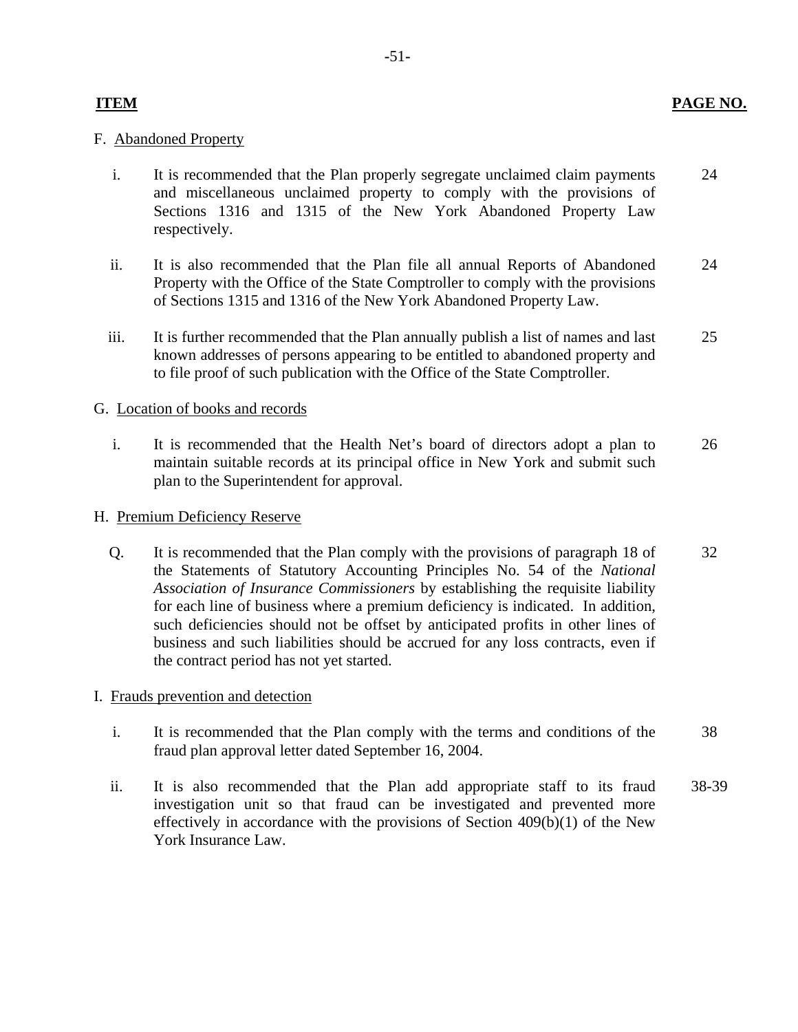# **ITEM PAGE NO.**

### F. Abandoned Property

- i. It is recommended that the Plan properly segregate unclaimed claim payments 24 and miscellaneous unclaimed property to comply with the provisions of Sections 1316 and 1315 of the New York Abandoned Property Law respectively.
- ii. It is also recommended that the Plan file all annual Reports of Abandoned 24 Property with the Office of the State Comptroller to comply with the provisions of Sections 1315 and 1316 of the New York Abandoned Property Law.
- iii. It is further recommended that the Plan annually publish a list of names and last 25 known addresses of persons appearing to be entitled to abandoned property and to file proof of such publication with the Office of the State Comptroller.

### G. Location of books and records

i. It is recommended that the Health Net's board of directors adopt a plan to 26 maintain suitable records at its principal office in New York and submit such plan to the Superintendent for approval.

### H. Premium Deficiency Reserve

Q. It is recommended that the Plan comply with the provisions of paragraph 18 of 32 the Statements of Statutory Accounting Principles No. 54 of the *National Association of Insurance Commissioners* by establishing the requisite liability for each line of business where a premium deficiency is indicated. In addition, such deficiencies should not be offset by anticipated profits in other lines of business and such liabilities should be accrued for any loss contracts, even if the contract period has not yet started.

# I. Frauds prevention and detection

- i. It is recommended that the Plan comply with the terms and conditions of the 38 fraud plan approval letter dated September 16, 2004.
- ii. It is also recommended that the Plan add appropriate staff to its fraud 38-39 investigation unit so that fraud can be investigated and prevented more effectively in accordance with the provisions of Section  $409(b)(1)$  of the New York Insurance Law.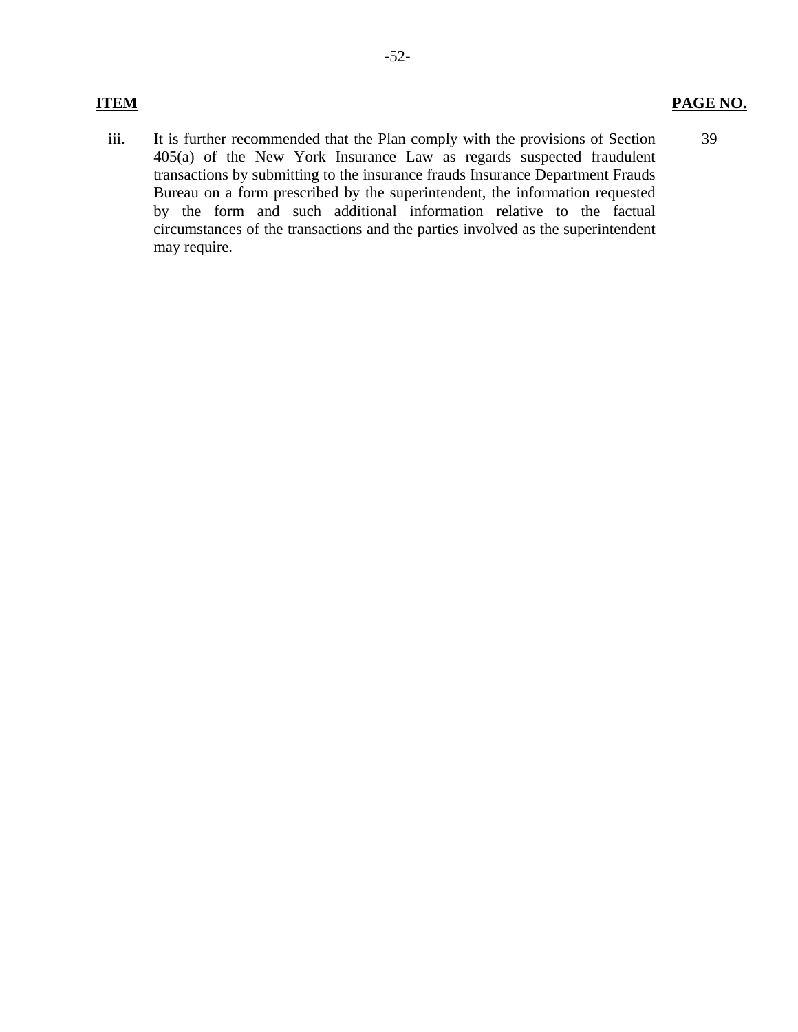39

iii. It is further recommended that the Plan comply with the provisions of Section 405(a) of the New York Insurance Law as regards suspected fraudulent transactions by submitting to the insurance frauds Insurance Department Frauds Bureau on a form prescribed by the superintendent, the information requested by the form and such additional information relative to the factual circumstances of the transactions and the parties involved as the superintendent may require.